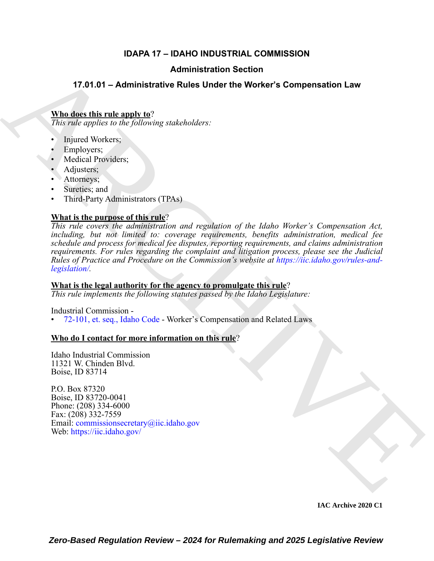### **IDAPA 17 – IDAHO INDUSTRIAL COMMISSION**

### **Administration Section**

### **17.01.01 – Administrative Rules Under the Worker's Compensation Law**

### **Who does this rule apply to**?

*This rule applies to the following stakeholders:*

- Injured Workers;
- Employers;
- Medical Providers;
- Adjusters;
- Attorneys;
- Sureties; and
- Third-Party Administrators (TPAs)

### **What is the purpose of this rule**?

Administration Section<br>
17.01.01 - Administration Section<br>
This disc this will be linear the Worker's Componention Law<br>
This rate opplies in the Milnear state<br> *Children's state of the million state of the state of the st This rule covers the administration and regulation of the Idaho Worker's Compensation Act, including, but not limited to: coverage requirements, benefits administration, medical fee schedule and process for medical fee disputes, reporting requirements, and claims administration requirements. For rules regarding the complaint and litigation process, please see the Judicial Rules of Practice and Procedure on the Commission's website at https://iic.idaho.gov/rules-andlegislation/.*

### **What is the legal authority for the agency to promulgate this rule**?

*This rule implements the following statutes passed by the Idaho Legislature:*

Industrial Commission -

• 72-101, et. seq., Idaho Code - Worker's Compensation and Related Laws

### **Who do I contact for more information on this rule**?

Idaho Industrial Commission 11321 W. Chinden Blvd. Boise, ID 83714

P.O. Box 87320 Boise, ID 83720-0041 Phone: (208) 334-6000 Fax: (208) 332-7559 Email: commissionsecretary@iic.idaho.gov Web: https://iic.idaho.gov/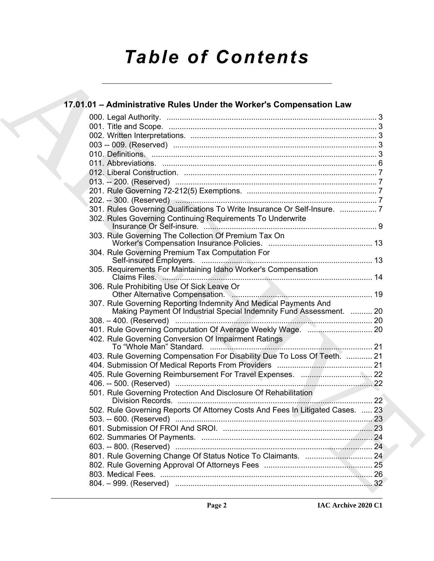# *Table of Contents*

### **17.01.01 – Administrative Rules Under the Worker's Compensation Law**

| 17.01.01 - Administrative Rules Under the Worker's Compensation Law                                                                     |  |
|-----------------------------------------------------------------------------------------------------------------------------------------|--|
|                                                                                                                                         |  |
|                                                                                                                                         |  |
|                                                                                                                                         |  |
|                                                                                                                                         |  |
|                                                                                                                                         |  |
|                                                                                                                                         |  |
|                                                                                                                                         |  |
|                                                                                                                                         |  |
|                                                                                                                                         |  |
|                                                                                                                                         |  |
| 301. Rules Governing Qualifications To Write Insurance Or Self-Insure.  7                                                               |  |
| 302. Rules Governing Continuing Requirements To Underwrite                                                                              |  |
| 303. Rule Governing The Collection Of Premium Tax On                                                                                    |  |
|                                                                                                                                         |  |
| 304. Rule Governing Premium Tax Computation For                                                                                         |  |
| 305. Requirements For Maintaining Idaho Worker's Compensation                                                                           |  |
| 306. Rule Prohibiting Use Of Sick Leave Or                                                                                              |  |
| 307. Rule Governing Reporting Indemnity And Medical Payments And<br>Making Payment Of Industrial Special Indemnity Fund Assessment.  20 |  |
|                                                                                                                                         |  |
|                                                                                                                                         |  |
| 403. Rule Governing Compensation For Disability Due To Loss Of Teeth.  21                                                               |  |
|                                                                                                                                         |  |
|                                                                                                                                         |  |
|                                                                                                                                         |  |
| 501. Rule Governing Protection And Disclosure Of Rehabilitation                                                                         |  |
| 502. Rule Governing Reports Of Attorney Costs And Fees In Litigated Cases.  23                                                          |  |
|                                                                                                                                         |  |
|                                                                                                                                         |  |
|                                                                                                                                         |  |
|                                                                                                                                         |  |
|                                                                                                                                         |  |
|                                                                                                                                         |  |
|                                                                                                                                         |  |
|                                                                                                                                         |  |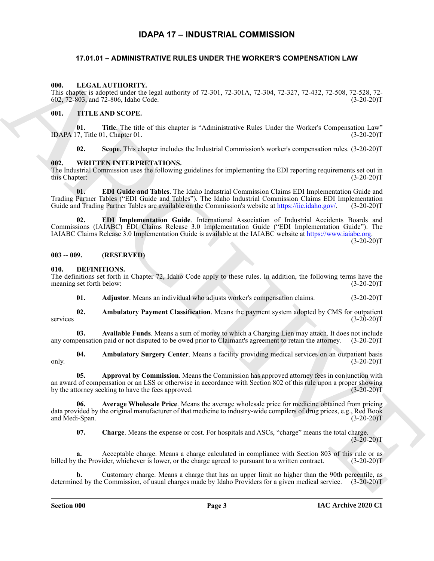### **IDAPA 17 – INDUSTRIAL COMMISSION**

### <span id="page-2-14"></span><span id="page-2-0"></span>**17.01.01 – ADMINISTRATIVE RULES UNDER THE WORKER'S COMPENSATION LAW**

#### <span id="page-2-1"></span>**000. LEGAL AUTHORITY.**

This chapter is adopted under the legal authority of 72-301, 72-301A, 72-304, 72-327, 72-432, 72-508, 72-528, 72-<br>602, 72-803, and 72-806, Idaho Code. (3-20-20) 602, 72-803, and 72-806, Idaho Code.

#### <span id="page-2-15"></span><span id="page-2-2"></span>**001. TITLE AND SCOPE.**

**01. Title**. The title of this chapter is "Administrative Rules Under the Worker's Compensation Law" IDAPA 17, Title 01, Chapter 01.

<span id="page-2-17"></span><span id="page-2-16"></span>**02. Scope**. This chapter includes the Industrial Commission's worker's compensation rules. (3-20-20)T

#### <span id="page-2-3"></span>**002. WRITTEN INTERPRETATIONS.**

The Industrial Commission uses the following guidelines for implementing the EDI reporting requirements set out in this Chapter: (3-20-20)T

<span id="page-2-18"></span>**01. EDI Guide and Tables**. The Idaho Industrial Commission Claims EDI Implementation Guide and Trading Partner Tables ("EDI Guide and Tables"). The Idaho Industrial Commission Claims EDI Implementation Guide and Trading Partner Tables are available on the Commission's website at https://iic.idaho.gov/. (3-20-20)T Guide and Trading Partner Tables are available on the Commission's website at https://iic.idaho.gov/.

A[RC](https://iic.idaho.gov/)HIVE **02. EDI Implementation Guide**. International Association of Industrial Accidents Boards and Commissions (IAIABC) EDI Claims Release 3.0 Implementation Guide ("EDI Implementation Guide"). The IAIABC Claims Release 3.0 Implementation Guide is available at the IAIABC website at https://www.iaiabc.org.  $(3-20-20)T$ 

#### <span id="page-2-4"></span>**003 -- 009. (RESERVED)**

<span id="page-2-6"></span><span id="page-2-5"></span>**010. DEFINITIONS.**

The definitions set forth in Chapter 72, Idaho Code apply to these rules. In addition, the following terms have the meaning set forth below: (3-20-20) meaning set forth below:

<span id="page-2-11"></span><span id="page-2-8"></span><span id="page-2-7"></span>**01. Adjustor**. Means an individual who adjusts worker's compensation claims. (3-20-20)T

**02.** Ambulatory Payment Classification. Means the payment system adopted by CMS for outpatient (3-20-20)T services (3-20-20)T

**03. Available Funds**. Means a sum of money to which a Charging Lien may attach. It does not include any compensation paid or not disputed to be owed prior to Claimant's agreement to retain the attorney. (3-20-20)T

<span id="page-2-9"></span>**04.** Ambulatory Surgery Center. Means a facility providing medical services on an outpatient basis (3-20-20) only.  $(3-20-20)T$ 

<span id="page-2-10"></span>**05. Approval by Commission**. Means the Commission has approved attorney fees in conjunction with an award of compensation or an LSS or otherwise in accordance with Section 802 of this rule upon a proper showing<br>by the attorney seeking to have the fees approved. (3-20-20) by the attorney seeking to have the fees approved.

**06. Average Wholesale Price**. Means the average wholesale price for medicine obtained from pricing data provided by the original manufacturer of that medicine to industry-wide compilers of drug prices, e.g., Red Book and Medi-Span. (3-20-20)T

<span id="page-2-13"></span><span id="page-2-12"></span>**07. Charge**. Means the expense or cost. For hospitals and ASCs, "charge" means the total charge.  $(3-20-20)T$ 

**a.** Acceptable charge. Means a charge calculated in compliance with Section 803 of this rule or as the Provider, whichever is lower, or the charge agreed to pursuant to a written contract. (3-20-20)<sup>T</sup> billed by the Provider, whichever is lower, or the charge agreed to pursuant to a written contract.

**b.** Customary charge. Means a charge that has an upper limit no higher than the 90th percentile, as determined by the Commission, of usual charges made by Idaho Providers for a given medical service. (3-20-20)T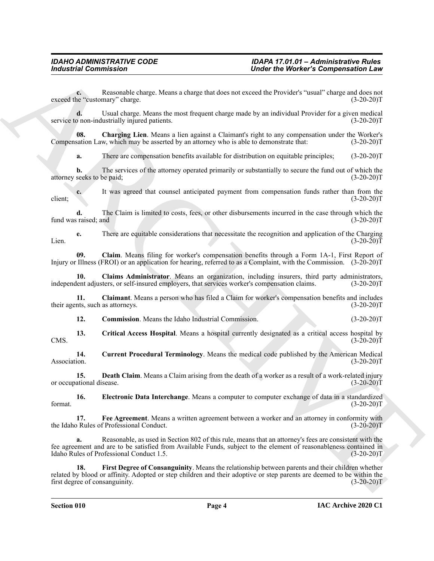**c.** Reasonable charge. Means a charge that does not exceed the Provider's "usual" charge and does not exceed the "customary" charge.

**d.** Usual charge. Means the most frequent charge made by an individual Provider for a given medical service to non-industrially injured patients. (3-20-20)T

**08. Charging Lien**. Means a lien against a Claimant's right to any compensation under the Worker's Compensation Law, which may be asserted by an attorney who is able to demonstrate that: (3-20-20)T

<span id="page-3-0"></span>**a.** There are compensation benefits available for distribution on equitable principles; (3-20-20)T

**b.** The services of the attorney operated primarily or substantially to secure the fund out of which the seeks to be paid; (3-20-20) attorney seeks to be paid;

**c.** It was agreed that counsel anticipated payment from compensation funds rather than from the client; (3-20-20)T

**d.** The Claim is limited to costs, fees, or other disbursements incurred in the case through which the raised; and (3-20-20)<sup>T</sup> fund was raised; and

**e.** There are equitable considerations that necessitate the recognition and application of the Charging (3-20-20) Lien.  $(3-20-20)T$ 

<span id="page-3-1"></span>**09. Claim**. Means filing for worker's compensation benefits through a Form 1A-1, First Report of Injury or Illness (FROI) or an application for hearing, referred to as a Complaint, with the Commission. (3-20-20)T

<span id="page-3-3"></span>**10.** Claims Administrator. Means an organization, including insurers, third party administrators, lent adjusters, or self-insured employers, that services worker's compensation claims. (3-20-20)T independent adjusters, or self-insured employers, that services worker's compensation claims.

**11. Claimant**. Means a person who has filed a Claim for worker's compensation benefits and includes their agents, such as attorneys.

<span id="page-3-6"></span><span id="page-3-5"></span><span id="page-3-4"></span><span id="page-3-2"></span>**12. Commission**. Means the Idaho Industrial Commission. (3-20-20)T

**13. Critical Access Hospital**. Means a hospital currently designated as a critical access hospital by  $\text{CMS.}$  (3-20-20)T

**14.** Current Procedural Terminology. Means the medical code published by the American Medical Association. (3-20-20)T Association. (3-20-20)T

<span id="page-3-7"></span>**15. Death Claim**. Means a Claim arising from the death of a worker as a result of a work-related injury or occupational disease. (3-20-20)T

<span id="page-3-8"></span>**16. Electronic Data Interchange**. Means a computer to computer exchange of data in a standardized (3-20-20) format.  $(3-20-20)T$ 

<span id="page-3-9"></span>**17. Fee Agreement**. Means a written agreement between a worker and an attorney in conformity with the Idaho Rules of Professional Conduct. (3-20-20)T

<span id="page-3-10"></span>**a.** Reasonable, as used in Section 802 of this rule, means that an attorney's fees are consistent with the fee agreement and are to be satisfied from Available Funds, subject to the element of reasonableness contained in Idaho Rules of Professional Conduct 1.5. (3-20-20)T

For the control of the second states. Moreover, the second the control of the second states and second states are a second to the second states and the second states are expected by the second states and  $\frac{1}{2}$  and  $\frac$ **18. First Degree of Consanguinity**. Means the relationship between parents and their children whether related by blood or affinity. Adopted or step children and their adoptive or step parents are deemed to be within the first degree of consanguinity. (3-20-20) first degree of consanguinity.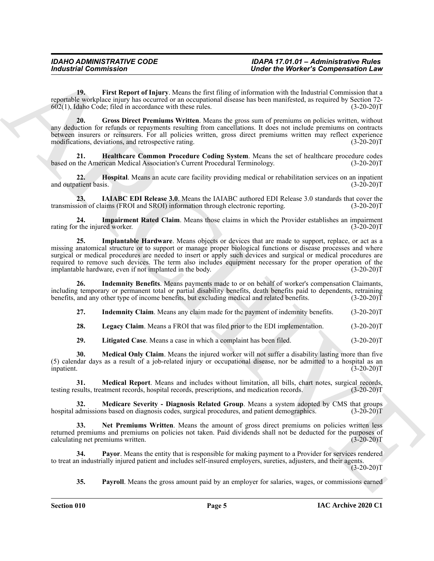<span id="page-4-0"></span>**19. First Report of Injury**. Means the first filing of information with the Industrial Commission that a reportable workplace injury has occurred or an occupational disease has been manifested, as required by Section 72-  $602(1)$ , Idaho Code; filed in accordance with these rules.

<span id="page-4-1"></span>**20. Gross Direct Premiums Written**. Means the gross sum of premiums on policies written, without any deduction for refunds or repayments resulting from cancellations. It does not include premiums on contracts between insurers or reinsurers. For all policies written, gross direct premiums written may reflect experience modifications, deviations, and retrospective rating. (3-20-20) modifications, deviations, and retrospective rating.

<span id="page-4-2"></span>**21. Healthcare Common Procedure Coding System**. Means the set of healthcare procedure codes based on the American Medical Association's Current Procedural Terminology.

<span id="page-4-3"></span>**22. Hospital**. Means an acute care facility providing medical or rehabilitation services on an inpatient and outpatient basis. (3-20-20)T

<span id="page-4-4"></span>23. **IAIABC EDI Release 3.0**. Means the IAIABC authored EDI Release 3.0 standards that cover the sion of claims (FROI and SROI) information through electronic reporting. (3-20-20)T transmission of claims (FROI and SROI) information through electronic reporting.

<span id="page-4-6"></span><span id="page-4-5"></span>**24. Impairment Rated Claim**. Means those claims in which the Provider establishes an impairment r the injured worker. (3-20-20) rating for the injured worker.

Forducine all commission<br>
19. The Report of Injany Afores the clinic field of the Research of Research of the Commission of the Research of the Termina State (19. The Research of the Termina State (19. The Research of the **25. Implantable Hardware**. Means objects or devices that are made to support, replace, or act as a missing anatomical structure or to support or manage proper biological functions or disease processes and where surgical or medical procedures are needed to insert or apply such devices and surgical or medical procedures are required to remove such devices. The term also includes equipment necessary for the proper operation of the implantable hardware, even if not implanted in the body. (3-20-20) implantable hardware, even if not implanted in the body.

**26. Indemnity Benefits**. Means payments made to or on behalf of worker's compensation Claimants, including temporary or permanent total or partial disability benefits, death benefits paid to dependents, retraining<br>benefits, and any other type of income benefits, but excluding medical and related benefits. (3-20-20)T benefits, and any other type of income benefits, but excluding medical and related benefits.

<span id="page-4-8"></span><span id="page-4-7"></span>**27.** Indemnity Claim. Means any claim made for the payment of indemnity benefits.  $(3-20-20)T$ 

<span id="page-4-9"></span>**28. Legacy Claim**. Means a FROI that was filed prior to the EDI implementation. (3-20-20)T

<span id="page-4-12"></span><span id="page-4-11"></span><span id="page-4-10"></span>**29.** Litigated Case. Means a case in which a complaint has been filed. (3-20-20)T

**30. Medical Only Claim**. Means the injured worker will not suffer a disability lasting more than five (5) calendar days as a result of a job-related injury or occupational disease, nor be admitted to a hospital as an inpatient. (3-20-20)T

**31.** Medical Report. Means and includes without limitation, all bills, chart notes, surgical records, surgical records, prescriptions, and medication records. (3-20-20) testing results, treatment records, hospital records, prescriptions, and medication records.

<span id="page-4-13"></span>**32.** Medicare Severity - Diagnosis Related Group. Means a system adopted by CMS that groups admissions based on diagnosis codes, surgical procedures, and patient demographics. (3-20-20)T hospital admissions based on diagnosis codes, surgical procedures, and patient demographics.

<span id="page-4-14"></span>**33. Net Premiums Written**. Means the amount of gross direct premiums on policies written less returned premiums and premiums on policies not taken. Paid dividends shall not be deducted for the purposes of calculating net premiums written. (3-20-20) calculating net premiums written.

**34. Payor**. Means the entity that is responsible for making payment to a Provider for services rendered to treat an industrially injured patient and includes self-insured employers, sureties, adjusters, and their agents.  $(3-20-20)T$ 

<span id="page-4-16"></span><span id="page-4-15"></span>**35. Payroll**. Means the gross amount paid by an employer for salaries, wages, or commissions earned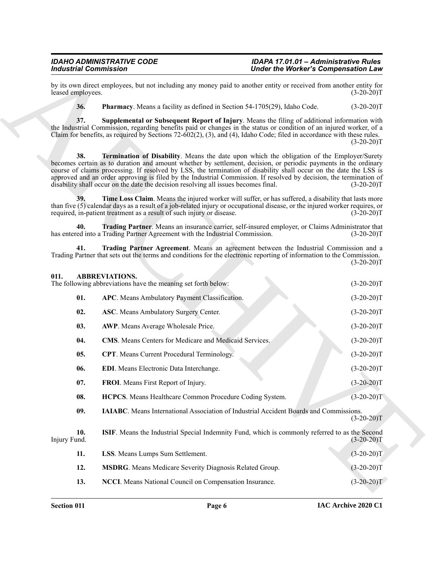<span id="page-5-20"></span><span id="page-5-19"></span><span id="page-5-18"></span><span id="page-5-17"></span><span id="page-5-16"></span><span id="page-5-15"></span><span id="page-5-14"></span><span id="page-5-13"></span><span id="page-5-12"></span><span id="page-5-11"></span><span id="page-5-10"></span><span id="page-5-9"></span><span id="page-5-8"></span><span id="page-5-7"></span><span id="page-5-6"></span><span id="page-5-5"></span><span id="page-5-4"></span><span id="page-5-3"></span><span id="page-5-2"></span><span id="page-5-1"></span><span id="page-5-0"></span>

| by its own direct employees, but not including any money paid to another entity or received from another entity for<br>$(3-20-20)T$                                                                                                                                                                                                                                                                                                                                      |
|--------------------------------------------------------------------------------------------------------------------------------------------------------------------------------------------------------------------------------------------------------------------------------------------------------------------------------------------------------------------------------------------------------------------------------------------------------------------------|
| $(3-20-20)T$                                                                                                                                                                                                                                                                                                                                                                                                                                                             |
| Supplemental or Subsequent Report of Injury. Means the filing of additional information with<br>the Industrial Commission, regarding benefits paid or changes in the status or condition of an injured worker, of a<br>Claim for benefits, as required by Sections $72-602(2)$ , (3), and (4), Idaho Code; filed in accordance with these rules.<br>$(3-20-20)T$                                                                                                         |
| Termination of Disability. Means the date upon which the obligation of the Employer/Surety<br>becomes certain as to duration and amount whether by settlement, decision, or periodic payments in the ordinary<br>course of claims processing. If resolved by LSS, the termination of disability shall occur on the date the LSS is<br>approved and an order approving is filed by the Industrial Commission. If resolved by decision, the termination of<br>$(3-20-20)T$ |
| Time Loss Claim. Means the injured worker will suffer, or has suffered, a disability that lasts more<br>than five (5) calendar days as a result of a job-related injury or occupational disease, or the injured worker requires, or<br>$(3-20-20)T$                                                                                                                                                                                                                      |
| Trading Partner. Means an insurance carrier, self-insured employer, or Claims Administrator that<br>$(3-20-20)T$                                                                                                                                                                                                                                                                                                                                                         |
| Trading Partner Agreement. Means an agreement between the Industrial Commission and a<br>Trading Partner that sets out the terms and conditions for the electronic reporting of information to the Commission.<br>$(3-20-20)T$                                                                                                                                                                                                                                           |
| $(3-20-20)T$                                                                                                                                                                                                                                                                                                                                                                                                                                                             |
| $(3-20-20)T$                                                                                                                                                                                                                                                                                                                                                                                                                                                             |
| $(3-20-20)T$                                                                                                                                                                                                                                                                                                                                                                                                                                                             |
|                                                                                                                                                                                                                                                                                                                                                                                                                                                                          |
| $(3-20-20)T$                                                                                                                                                                                                                                                                                                                                                                                                                                                             |
| $(3-20-20)T$                                                                                                                                                                                                                                                                                                                                                                                                                                                             |
| $(3-20-20)T$                                                                                                                                                                                                                                                                                                                                                                                                                                                             |
| $(3-20-20)T$                                                                                                                                                                                                                                                                                                                                                                                                                                                             |
| $(3-20-20)T$                                                                                                                                                                                                                                                                                                                                                                                                                                                             |
| $(3-20-20)T$                                                                                                                                                                                                                                                                                                                                                                                                                                                             |
| IAIABC. Means International Association of Industrial Accident Boards and Commissions.<br>$(3-20-20)T$                                                                                                                                                                                                                                                                                                                                                                   |
| ISIF. Means the Industrial Special Indemnity Fund, which is commonly referred to as the Second<br>$(3-20-20)T$                                                                                                                                                                                                                                                                                                                                                           |
| $(3-20-20)T$                                                                                                                                                                                                                                                                                                                                                                                                                                                             |
| $(3-20-20)T$                                                                                                                                                                                                                                                                                                                                                                                                                                                             |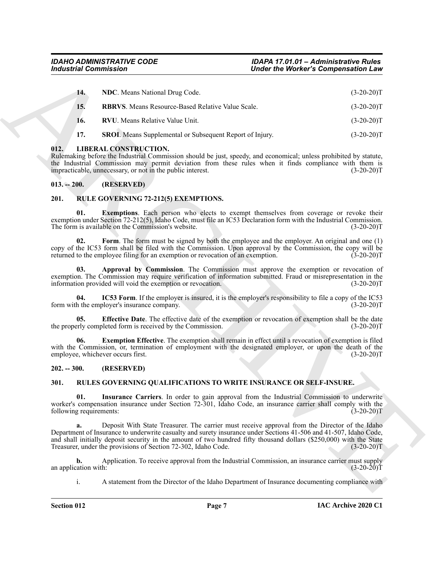|                                | <b>Industrial Commission</b>                                                                                                                                                                                                                                                                                                                                                                                 | <b>Under the Worker's Compensation Law</b> |              |
|--------------------------------|--------------------------------------------------------------------------------------------------------------------------------------------------------------------------------------------------------------------------------------------------------------------------------------------------------------------------------------------------------------------------------------------------------------|--------------------------------------------|--------------|
| 14.                            | NDC. Means National Drug Code.                                                                                                                                                                                                                                                                                                                                                                               |                                            | $(3-20-20)T$ |
| 15.                            | <b>RBRVS.</b> Means Resource-Based Relative Value Scale.                                                                                                                                                                                                                                                                                                                                                     |                                            | $(3-20-20)T$ |
| 16.                            | RVU. Means Relative Value Unit.                                                                                                                                                                                                                                                                                                                                                                              |                                            | $(3-20-20)T$ |
| 17.                            | SROI. Means Supplemental or Subsequent Report of Injury.                                                                                                                                                                                                                                                                                                                                                     |                                            | $(3-20-20)T$ |
| 012.                           | <b>LIBERAL CONSTRUCTION.</b><br>Rulemaking before the Industrial Commission should be just, speedy, and economical; unless prohibited by statute,<br>the Industrial Commission may permit deviation from these rules when it finds compliance with them is<br>impracticable, unnecessary, or not in the public interest.                                                                                     |                                            | $(3-20-20)T$ |
| $013. - 200.$                  | (RESERVED)                                                                                                                                                                                                                                                                                                                                                                                                   |                                            |              |
| 201.                           | RULE GOVERNING 72-212(5) EXEMPTIONS.                                                                                                                                                                                                                                                                                                                                                                         |                                            |              |
| 01.                            | <b>Exemptions.</b> Each person who elects to exempt themselves from coverage or revoke their<br>exemption under Section 72-212(5), Idaho Code, must file an IC53 Declaration form with the Industrial Commission.<br>The form is available on the Commission's website.                                                                                                                                      |                                            | $(3-20-20)T$ |
| 02.                            | Form. The form must be signed by both the employee and the employer. An original and one (1)<br>copy of the IC53 form shall be filed with the Commission. Upon approval by the Commission, the copy will be<br>returned to the employee filing for an exemption or revocation of an exemption.                                                                                                               |                                            | $(3-20-20)T$ |
| 03.                            | Approval by Commission. The Commission must approve the exemption or revocation of<br>exemption. The Commission may require verification of information submitted. Fraud or misrepresentation in the<br>information provided will void the exemption or revocation.                                                                                                                                          |                                            | $(3-20-20)T$ |
| 04.                            | IC53 Form. If the employer is insured, it is the employer's responsibility to file a copy of the IC53<br>form with the employer's insurance company.                                                                                                                                                                                                                                                         |                                            | $(3-20-20)T$ |
| 05.                            | Effective Date. The effective date of the exemption or revocation of exemption shall be the date<br>the properly completed form is received by the Commission.                                                                                                                                                                                                                                               |                                            | $(3-20-20)T$ |
| 06.                            | <b>Exemption Effective.</b> The exemption shall remain in effect until a revocation of exemption is filed<br>with the Commission, or, termination of employment with the designated employer, or upon the death of the<br>employee, whichever occurs first.                                                                                                                                                  |                                            | $(3-20-20)T$ |
| $202. - 300.$                  | (RESERVED)                                                                                                                                                                                                                                                                                                                                                                                                   |                                            |              |
| 301.                           | RULES GOVERNING QUALIFICATIONS TO WRITE INSURANCE OR SELF-INSURE.                                                                                                                                                                                                                                                                                                                                            |                                            |              |
| 01.<br>following requirements: | Insurance Carriers. In order to gain approval from the Industrial Commission to underwrite<br>worker's compensation insurance under Section 72-301, Idaho Code, an insurance carrier shall comply with the                                                                                                                                                                                                   |                                            | $(3-20-20)T$ |
| a.                             | Deposit With State Treasurer. The carrier must receive approval from the Director of the Idaho<br>Department of Insurance to underwrite casualty and surety insurance under Sections 41-506 and 41-507, Idaho Code,<br>and shall initially deposit security in the amount of two hundred fifty thousand dollars (\$250,000) with the State<br>Treasurer, under the provisions of Section 72-302, Idaho Code. |                                            | $(3-20-20)T$ |
| b.<br>an application with:     | Application. To receive approval from the Industrial Commission, an insurance carrier must supply                                                                                                                                                                                                                                                                                                            |                                            | $(3-20-20)T$ |
| i.                             | A statement from the Director of the Idaho Department of Insurance documenting compliance with                                                                                                                                                                                                                                                                                                               |                                            |              |

#### <span id="page-6-9"></span><span id="page-6-8"></span><span id="page-6-7"></span><span id="page-6-6"></span><span id="page-6-5"></span><span id="page-6-0"></span>**012. LIBERAL CONSTRUCTION.**

#### <span id="page-6-1"></span>**013. -- 200. (RESERVED)**

#### <span id="page-6-15"></span><span id="page-6-14"></span><span id="page-6-11"></span><span id="page-6-10"></span><span id="page-6-2"></span>**201. RULE GOVERNING 72-212(5) EXEMPTIONS.**

#### <span id="page-6-16"></span><span id="page-6-13"></span><span id="page-6-12"></span><span id="page-6-3"></span>**202. -- 300. (RESERVED)**

#### <span id="page-6-18"></span><span id="page-6-17"></span><span id="page-6-4"></span>**301. RULES GOVERNING QUALIFICATIONS TO WRITE INSURANCE OR SELF-INSURE.**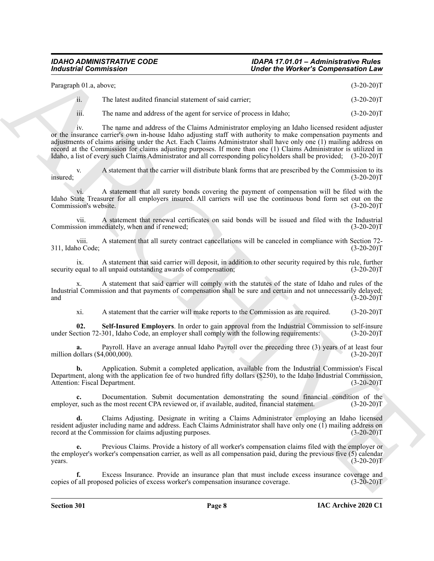| Paragraph 01.a, above; |                                                         | $(3-20-20)T$ |
|------------------------|---------------------------------------------------------|--------------|
| ii.                    | The latest audited financial statement of said carrier. | $(3-20-20)T$ |

iii. The name and address of the agent for service of process in Idaho; (3-20-20)T

Franchises Commission Taxas and the set of cases and leads the set of the set of the set of the set of the set of the set of the set of the set of the set of the set of the set of the set of the set of the set of the set iv. The name and address of the Claims Administrator employing an Idaho licensed resident adjuster or the insurance carrier's own in-house Idaho adjusting staff with authority to make compensation payments and adjustments of claims arising under the Act. Each Claims Administrator shall have only one (1) mailing address on record at the Commission for claims adjusting purposes. If more than one (1) Claims Administrator is utilized in Idaho, a list of every such Claims Administrator and all corresponding policyholders shall be provided; (3-20-20)T

v. A statement that the carrier will distribute blank forms that are prescribed by the Commission to its  $\frac{1}{3-20-20}$  (3-20-20)T

vi. A statement that all surety bonds covering the payment of compensation will be filed with the Idaho State Treasurer for all employers insured. All carriers will use the continuous bond form set out on the Commission's website. (3-20-20) Commission's website.

vii. A statement that renewal certificates on said bonds will be issued and filed with the Industrial Commission immediately, when and if renewed; (3-20-20)T

viii. A statement that all surety contract cancellations will be canceled in compliance with Section 72- 311, Idaho Code;

ix. A statement that said carrier will deposit, in addition to other security required by this rule, further equal to all unpaid outstanding awards of compensation; (3-20-20) security equal to all unpaid outstanding awards of compensation;

A statement that said carrier will comply with the statutes of the state of Idaho and rules of the Industrial Commission and that payments of compensation shall be sure and certain and not unnecessarily delayed; and  $(3-20-20)T$ 

<span id="page-7-0"></span>xi. A statement that the carrier will make reports to the Commission as are required. (3-20-20)T

**02.** Self-Insured Employers. In order to gain approval from the Industrial Commission to self-insure ction 72-301, Idaho Code, an employer shall comply with the following requirements: (3-20-20) under Section 72-301, Idaho Code, an employer shall comply with the following requirements:

**a.** Payroll. Have an average annual Idaho Payroll over the preceding three (3) years of at least four million dollars (\$4,000,000). (3-20-20)T

**b.** Application. Submit a completed application, available from the Industrial Commission's Fiscal Department, along with the application fee of two hundred fifty dollars (\$250), to the Idaho Industrial Commission, Attention: Fiscal Department. (3-20-20)T

**c.** Documentation. Submit documentation demonstrating the sound financial condition of the r, such as the most recent CPA reviewed or, if available, audited, financial statement. (3-20-20)T employer, such as the most recent CPA reviewed or, if available, audited, financial statement.

**d.** Claims Adjusting. Designate in writing a Claims Administrator employing an Idaho licensed resident adjuster including name and address. Each Claims Administrator shall have only one  $(1)$  mailing address on record at the Commission for claims adjusting purposes.  $(3-20-20)$ record at the Commission for claims adjusting purposes.

**e.** Previous Claims. Provide a history of all worker's compensation claims filed with the employer or the employer's worker's compensation carrier, as well as all compensation paid, during the previous five (5) calendar  $years.$  (3-20-20)T

Excess Insurance. Provide an insurance plan that must include excess insurance coverage and osed policies of excess worker's compensation insurance coverage. (3-20-20)<sup>T</sup> copies of all proposed policies of excess worker's compensation insurance coverage.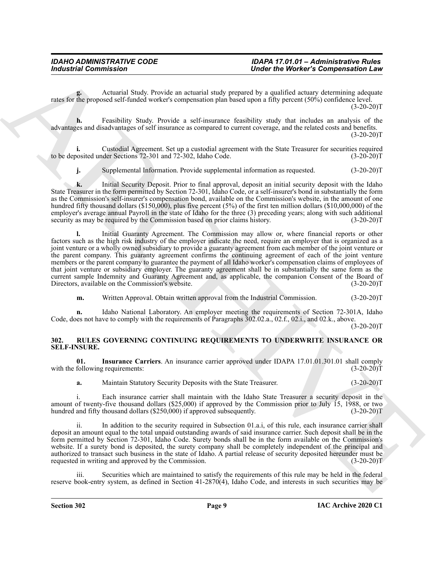**g.** Actuarial Study. Provide an actuarial study prepared by a qualified actuary determining adequate rates for the proposed self-funded worker's compensation plan based upon a fifty percent (50%) confidence level.  $(3-20-20)T$ 

**h.** Feasibility Study. Provide a self-insurance feasibility study that includes an analysis of the advantages and disadvantages of self insurance as compared to current coverage, and the related costs and benefits.  $(3-20-20)$ T

Custodial Agreement. Set up a custodial agreement with the State Treasurer for securities required<br>der Sections 72-301 and 72-302, Idaho Code. (3-20-20)T to be deposited under Sections  $72-301$  and  $72-302$ , Idaho Code.

**j.** Supplemental Information. Provide supplemental information as requested.  $(3-20-20)T$ 

**k.** Initial Security Deposit. Prior to final approval, deposit an initial security deposit with the Idaho State Treasurer in the form permitted by Section 72-301, Idaho Code, or a self-insurer's bond in substantially the form as the Commission's self-insurer's compensation bond, available on the Commission's website, in the amount of one hundred fifty thousand dollars (\$150,000), plus five percent (5%) of the first ten million dollars (\$10,000,000) of the employer's average annual Payroll in the state of Idaho for the three (3) preceding years; along with such additional security as may be required by the Commission based on prior claims history. (3-20-20)T

Formulation  $\overline{B}$ <br>
Choice the Marchims Commission  $\overline{B}$ <br>
Archims Commission and South Chornel is a specific the Chornel is a published source of the Chornelling equation of the Chornelling equation of the Chornellin **l.** Initial Guaranty Agreement. The Commission may allow or, where financial reports or other factors such as the high risk industry of the employer indicate the need, require an employer that is organized as a joint venture or a wholly owned subsidiary to provide a guaranty agreement from each member of the joint venture or the parent company. This guaranty agreement confirms the continuing agreement of each of the joint venture members or the parent company to guarantee the payment of all Idaho worker's compensation claims of employees of that joint venture or subsidiary employer. The guaranty agreement shall be in substantially the same form as the current sample Indemnity and Guaranty Agreement and, as applicable, the companion Consent of the Board of Directors, available on the Commission's website. (3-20-20)T

**m.** Written Approval. Obtain written approval from the Industrial Commission. (3-20-20)T

**n.** Idaho National Laboratory. An employer meeting the requirements of Section 72-301A, Idaho Code, does not have to comply with the requirements of Paragraphs 302.02.a., 02.f., 02.i., and 02.k., above.

 $(3-20-20)T$ 

#### <span id="page-8-1"></span><span id="page-8-0"></span>**302. RULES GOVERNING CONTINUING REQUIREMENTS TO UNDERWRITE INSURANCE OR SELF-INSURE.**

**01. Insurance Carriers**. An insurance carrier approved under IDAPA 17.01.01.301.01 shall comply with the following requirements:

<span id="page-8-2"></span>**a.** Maintain Statutory Security Deposits with the State Treasurer. (3-20-20)T

i. Each insurance carrier shall maintain with the Idaho State Treasurer a security deposit in the amount of twenty-five thousand dollars (\$25,000) if approved by the Commission prior to July 15, 1988, or two hundred and fifty thousand dollars (\$250,000) if approved subsequently. (3-20-20)T

ii. In addition to the security required in Subsection 01.a.i, of this rule, each insurance carrier shall deposit an amount equal to the total unpaid outstanding awards of said insurance carrier. Such deposit shall be in the form permitted by Section 72-301, Idaho Code. Surety bonds shall be in the form available on the Commission's website. If a surety bond is deposited, the surety company shall be completely independent of the principal and authorized to transact such business in the state of Idaho. A partial release of security deposited hereunder must be requested in writing and approved by the Commission. (3-20-20)T

Securities which are maintained to satisfy the requirements of this rule may be held in the federal reserve book-entry system, as defined in Section 41-2870(4), Idaho Code, and interests in such securities may be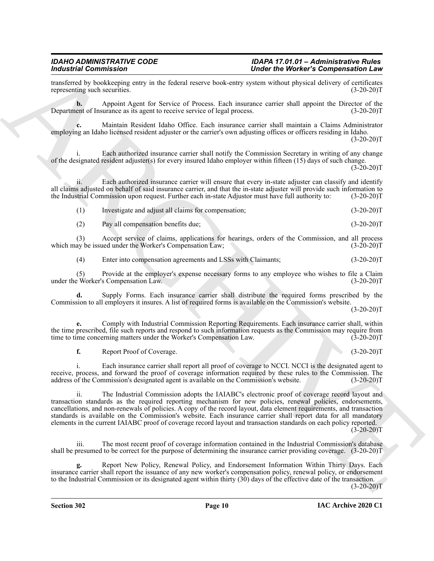transferred by bookkeeping entry in the federal reserve book-entry system without physical delivery of certificates representing such securities. (3-20-20) representing such securities.

**b.** Appoint Agent for Service of Process. Each insurance carrier shall appoint the Director of the ent of Insurance as its agent to receive service of legal process.  $(3-20-20)$ Department of Insurance as its agent to receive service of legal process.

**c.** Maintain Resident Idaho Office. Each insurance carrier shall maintain a Claims Administrator employing an Idaho licensed resident adjuster or the carrier's own adjusting offices or officers residing in Idaho.

 $(3-20-20)T$ 

i. Each authorized insurance carrier shall notify the Commission Secretary in writing of any change of the designated resident adjuster(s) for every insured Idaho employer within fifteen (15) days of such change.  $(3-20-20)T$ 

ii. Each authorized insurance carrier will ensure that every in-state adjuster can classify and identify all claims adjusted on behalf of said insurance carrier, and that the in-state adjuster will provide such information to the Industrial Commission upon request. Further each in-state Adjustor must have full authority to: (3-20-20)T

| Investigate and adjust all claims for compensation: | $(3-20-20)T$ |
|-----------------------------------------------------|--------------|
| Pay all compensation benefits due:                  | $(3-20-20)T$ |

(3) Accept service of claims, applications for hearings, orders of the Commission, and all process ay be issued under the Worker's Compensation Law; (3-20-20)

(4) Enter into compensation agreements and LSSs with Claimants; (3-20-20)T

(5) Provide at the employer's expense necessary forms to any employee who wishes to file a Claim under the Worker's Compensation Law.

**d.** Supply Forms. Each insurance carrier shall distribute the required forms prescribed by the Commission to all employers it insures. A list of required forms is available on the Commission's website.

 $(3-20-20)T$ 

**e.** Comply with Industrial Commission Reporting Requirements. Each insurance carrier shall, within the time prescribed, file such reports and respond to such information requests as the Commission may require from<br>time to time concerning matters under the Worker's Compensation Law. (3-20-20) time to time concerning matters under the Worker's Compensation Law.

**f.** Report Proof of Coverage. (3-20-20)T

which may be issued under the Worker's Compensation Law;

i. Each insurance carrier shall report all proof of coverage to NCCI. NCCI is the designated agent to receive, process, and forward the proof of coverage information required by these rules to the Commission. The address of the Commission's designated agent is available on the Commission's website. (3-20-20)T address of the Commission's designated agent is available on the Commission's website.

Formation Commute Since the set of the set of the set of the set of the set of the set of the set of the set of the set of the set of the set of the set of the set of the set of the set of the set of the set of the set of ii. The Industrial Commission adopts the IAIABC's electronic proof of coverage record layout and transaction standards as the required reporting mechanism for new policies, renewal policies, endorsements, cancellations, and non-renewals of policies. A copy of the record layout, data element requirements, and transaction standards is available on the Commission's website. Each insurance carrier shall report data for all mandatory elements in the current IAIABC proof of coverage record layout and transaction standards on each policy reported.  $(3-20-20)T$ 

iii. The most recent proof of coverage information contained in the Industrial Commission's database shall be presumed to be correct for the purpose of determining the insurance carrier providing coverage. (3-20-20)T

**g.** Report New Policy, Renewal Policy, and Endorsement Information Within Thirty Days. Each insurance carrier shall report the issuance of any new worker's compensation policy, renewal policy, or endorsement to the Industrial Commission or its designated agent within thirty (30) days of the effective date of the transaction.

 $(3-20-20)T$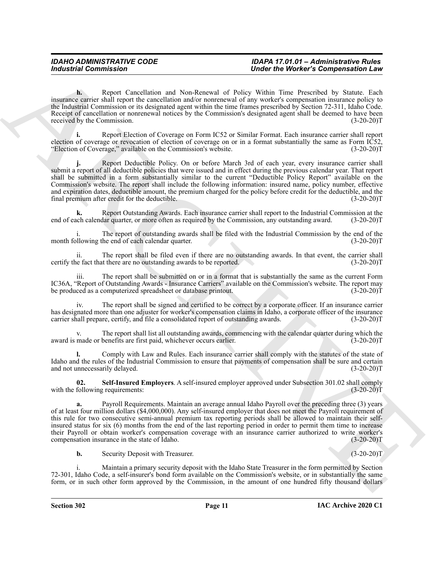**h.** Report Cancellation and Non-Renewal of Policy Within Time Prescribed by Statute. Each insurance carrier shall report the cancellation and/or nonrenewal of any worker's compensation insurance policy to the Industrial Commission or its designated agent within the time frames prescribed by Section 72-311, Idaho Code. Receipt of cancellation or nonrenewal notices by the Commission's designated agent shall be deemed to have been received by the Commission. (3-20-20)T

**i.** Report Election of Coverage on Form IC52 or Similar Format. Each insurance carrier shall report election of coverage or revocation of election of coverage on or in a format substantially the same as Form IC52, "Election of Coverage," available on the Commission's website. (3-20-20)T

For the same of the space of the same of the same of the same of the same interest of the same of the same of the same of the same of the same of the same of the same of the same of the same of the same of the same of the **j.** Report Deductible Policy. On or before March 3rd of each year, every insurance carrier shall submit a report of all deductible policies that were issued and in effect during the previous calendar year. That report shall be submitted in a form substantially similar to the current "Deductible Policy Report" available on the Commission's website. The report shall include the following information: insured name, policy number, effective and expiration dates, deductible amount, the premium charged for the policy before credit for the deductible, and the final premium after credit for the deductible. (3-20-20)T final premium after credit for the deductible.

Report Outstanding Awards. Each insurance carrier shall report to the Industrial Commission at the dark of the Commission. any outstanding award. (3-20-20)<sup>T</sup> end of each calendar quarter, or more often as required by the Commission, any outstanding award.

The report of outstanding awards shall be filed with the Industrial Commission by the end of the end of each calendar quarter.  $(3-20-20)T$ month following the end of each calendar quarter.

ii. The report shall be filed even if there are no outstanding awards. In that event, the carrier shall be fact that there are no outstanding awards to be reported. (3-20-20) certify the fact that there are no outstanding awards to be reported.

iii. The report shall be submitted on or in a format that is substantially the same as the current Form IC36A, "Report of Outstanding Awards - Insurance Carriers" available on the Commission's website. The report may<br>be produced as a computerized spreadsheet or database printout. (3-20-20) be produced as a computerized spreadsheet or database printout.

iv. The report shall be signed and certified to be correct by a corporate officer. If an insurance carrier has designated more than one adjuster for worker's compensation claims in Idaho, a corporate officer of the insurance carrier shall prepare, certify, and file a consolidated report of outstanding awards. (3-20-20)T

v. The report shall list all outstanding awards, commencing with the calendar quarter during which the award is made or benefits are first paid, whichever occurs earlier.

**l.** Comply with Law and Rules. Each insurance carrier shall comply with the statutes of the state of Idaho and the rules of the Industrial Commission to ensure that payments of compensation shall be sure and certain and not unnecessarily delayed. (3-20-20)T

<span id="page-10-0"></span>**02. Self-Insured Employers**. A self-insured employer approved under Subsection 301.02 shall comply with the following requirements:

**a.** Payroll Requirements. Maintain an average annual Idaho Payroll over the preceding three (3) years of at least four million dollars (\$4,000,000). Any self-insured employer that does not meet the Payroll requirement of this rule for two consecutive semi-annual premium tax reporting periods shall be allowed to maintain their selfinsured status for six (6) months from the end of the last reporting period in order to permit them time to increase their Payroll or obtain worker's compensation coverage with an insurance carrier authorized to write worker's compensation insurance in the state of Idaho. (3-20-20) compensation insurance in the state of Idaho.

**b.** Security Deposit with Treasurer. (3-20-20)T

i. Maintain a primary security deposit with the Idaho State Treasurer in the form permitted by Section 72-301, Idaho Code, a self-insurer's bond form available on the Commission's website, or in substantially the same form, or in such other form approved by the Commission, in the amount of one hundred fifty thousand dollars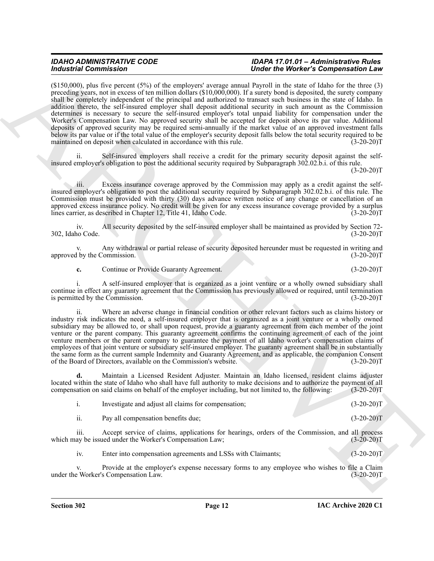For the Commutation CV is the employer attention in the column term in the state of Computer and the Computer COMPUT is the computer of the computer of the computer of the computer of the computer of the computer of the c (\$150,000), plus five percent (5%) of the employers' average annual Payroll in the state of Idaho for the three (3) preceding years, not in excess of ten million dollars (\$10,000,000). If a surety bond is deposited, the surety company shall be completely independent of the principal and authorized to transact such business in the state of Idaho. In addition thereto, the self-insured employer shall deposit additional security in such amount as the Commission determines is necessary to secure the self-insured employer's total unpaid liability for compensation under the Worker's Compensation Law. No approved security shall be accepted for deposit above its par value. Additional deposits of approved security may be required semi-annually if the market value of an approved investment falls below its par value or if the total value of the employer's security deposit falls below the total security required to be maintained on deposit when calculated in accordance with this rule. (3-20-20)T

ii. Self-insured employers shall receive a credit for the primary security deposit against the selfinsured employer's obligation to post the additional security required by Subparagraph 302.02.b.i. of this rule.  $(3-20-20)T$ 

iii. Excess insurance coverage approved by the Commission may apply as a credit against the selfinsured employer's obligation to post the additional security required by Subparagraph 302.02.b.i. of this rule. The Commission must be provided with thirty (30) days advance written notice of any change or cancellation of an approved excess insurance policy. No credit will be given for any excess insurance coverage provided by a surplus lines carrier, as described in Chapter 12, Title 41, Idaho Code. (3-20-20)T

iv. All security deposited by the self-insured employer shall be maintained as provided by Section 72- 302, Idaho Code.

v. Any withdrawal or partial release of security deposited hereunder must be requested in writing and approved by the Commission.

**c.** Continue or Provide Guaranty Agreement. (3-20-20)T

i. A self-insured employer that is organized as a joint venture or a wholly owned subsidiary shall continue in effect any guaranty agreement that the Commission has previously allowed or required, until termination is permitted by the Commission. (3-20-20)T is permitted by the Commission.

Where an adverse change in financial condition or other relevant factors such as claims history or industry risk indicates the need, a self-insured employer that is organized as a joint venture or a wholly owned subsidiary may be allowed to, or shall upon request, provide a guaranty agreement from each member of the joint venture or the parent company. This guaranty agreement confirms the continuing agreement of each of the joint venture members or the parent company to guarantee the payment of all Idaho worker's compensation claims of employees of that joint venture or subsidiary self-insured employer. The guaranty agreement shall be in substantially the same form as the current sample Indemnity and Guaranty Agreement, and as applicable, the companion Consent of the Board of Directors, available on the Commission's website. (3-20-20) of the Board of Directors, available on the Commission's website.

**d.** Maintain a Licensed Resident Adjuster. Maintain an Idaho licensed, resident claims adjuster located within the state of Idaho who shall have full authority to make decisions and to authorize the payment of all compensation on said claims on behalf of the employer including, but not limited to, the following: (3-2 compensation on said claims on behalf of the employer including, but not limited to, the following:

| Investigate and adjust all claims for compensation; | $(3-20-20)T$ |
|-----------------------------------------------------|--------------|
| Pay all compensation benefits due:                  | $(3-20-20)T$ |

iii. Accept service of claims, applications for hearings, orders of the Commission, and all process ay be issued under the Worker's Compensation Law; (3-20-20) which may be issued under the Worker's Compensation Law;

iv. Enter into compensation agreements and LSSs with Claimants; (3-20-20)T

v. Provide at the employer's expense necessary forms to any employee who wishes to file a Claim<br>e Worker's Compensation Law. (3-20-20) under the Worker's Compensation Law.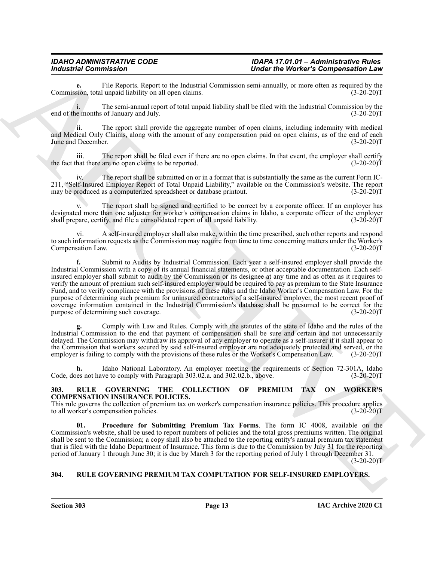**e.** File Reports. Report to the Industrial Commission semi-annually, or more often as required by the sion, total unpaid liability on all open claims. (3-20-20) Commission, total unpaid liability on all open claims.

i. The semi-annual report of total unpaid liability shall be filed with the Industrial Commission by the end of the months of January and July. (3-20-20)T

ii. The report shall provide the aggregate number of open claims, including indemnity with medical and Medical Only Claims, along with the amount of any compensation paid on open claims, as of the end of each June and December. (3-20-20)T

iii. The report shall be filed even if there are no open claims. In that event, the employer shall certify hat there are no open claims to be reported. (3-20-20) the fact that there are no open claims to be reported.

The report shall be submitted on or in a format that is substantially the same as the current Form IC-211, "Self-Insured Employer Report of Total Unpaid Liability," available on the Commission's website. The report may be produced as a computerized spreadsheet or database printout.

The report shall be signed and certified to be correct by a corporate officer. If an employer has designated more than one adjuster for worker's compensation claims in Idaho, a corporate officer of the employer shall prepare, certify, and file a consolidated report of all unpaid liability.  $(3-20-20)T$ 

A self-insured employer shall also make, within the time prescribed, such other reports and respond to such information requests as the Commission may require from time to time concerning matters under the Worker's<br>Compensation Law. (3-20-20)T Compensation Law.

For the state of the state of the state of the state of the state of the state of the state of the state of the state of the state of the state of the state of the state of the state of the state of the state of the state **f.** Submit to Audits by Industrial Commission. Each year a self-insured employer shall provide the Industrial Commission with a copy of its annual financial statements, or other acceptable documentation. Each selfinsured employer shall submit to audit by the Commission or its designee at any time and as often as it requires to verify the amount of premium such self-insured employer would be required to pay as premium to the State Insurance Fund, and to verify compliance with the provisions of these rules and the Idaho Worker's Compensation Law. For the purpose of determining such premium for uninsured contractors of a self-insured employer, the most recent proof of coverage information contained in the Industrial Commission's database shall be presumed to be correct for the purpose of determining such coverage.

**g.** Comply with Law and Rules. Comply with the statutes of the state of Idaho and the rules of the Industrial Commission to the end that payment of compensation shall be sure and certain and not unnecessarily delayed. The Commission may withdraw its approval of any employer to operate as a self-insurer if it shall appear to the Commission that workers secured by said self-insured employer are not adequately protected and served, or the employer is failing to comply with the provisions of these rules or the Worker's Compensation Law. (3-20-20)T

**h.** Idaho National Laboratory. An employer meeting the requirements of Section 72-301A, Idaho es not have to comply with Paragraph 303.02.a. and 302.02.b., above. (3-20-20)T Code, does not have to comply with Paragraph 303.02.a. and 302.02.b., above.

#### <span id="page-12-3"></span><span id="page-12-0"></span>**303. RULE GOVERNING THE COLLECTION OF PREMIUM TAX ON WORKER'S COMPENSATION INSURANCE POLICIES.**

This rule governs the collection of premium tax on worker's compensation insurance policies. This procedure applies to all worker's compensation policies. (3-20-20)T

<span id="page-12-4"></span>**01. Procedure for Submitting Premium Tax Forms**. The form IC 4008, available on the Commission's website, shall be used to report numbers of policies and the total gross premiums written. The original shall be sent to the Commission; a copy shall also be attached to the reporting entity's annual premium tax statement that is filed with the Idaho Department of Insurance. This form is due to the Commission by July 31 for the reporting period of January 1 through June 30; it is due by March 3 for the reporting period of July 1 through December 31.  $(3-20-20)$ T

### <span id="page-12-2"></span><span id="page-12-1"></span>**304. RULE GOVERNING PREMIUM TAX COMPUTATION FOR SELF-INSURED EMPLOYERS.**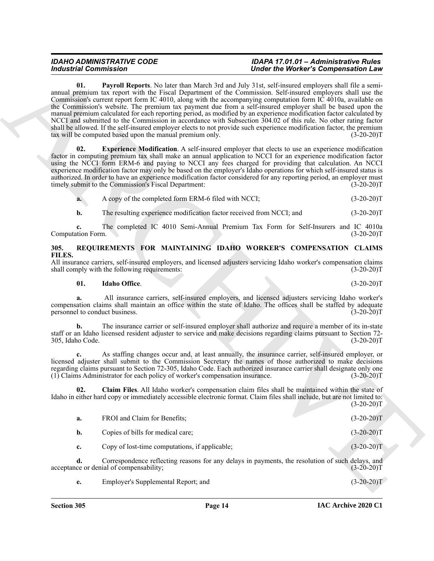## <span id="page-13-5"></span>*IDAHO ADMINISTRATIVE CODE IDAPA 17.01.01 – Administrative Rules*

## *Under the Worker's Compensation Law*

For the state of the state of the state of the state of the state of the state of the state of the state of the state of the state of the state of the state of the state of the state of the state of the state of the state **01. Payroll Reports**. No later than March 3rd and July 31st, self-insured employers shall file a semiannual premium tax report with the Fiscal Department of the Commission. Self-insured employers shall use the Commission's current report form IC 4010, along with the accompanying computation form IC 4010a, available on the Commission's website. The premium tax payment due from a self-insured employer shall be based upon the manual premium calculated for each reporting period, as modified by an experience modification factor calculated by NCCI and submitted to the Commission in accordance with Subsection 304.02 of this rule. No other rating factor shall be allowed. If the self-insured employer elects to not provide such experience modification factor, the premium tax will be computed based upon the manual premium only. (3-20-20)T

<span id="page-13-4"></span>**Experience Modification.** A self-insured employer that elects to use an experience modification factor in computing premium tax shall make an annual application to NCCI for an experience modification factor using the NCCI form ERM-6 and paying to NCCI any fees charged for providing that calculation. An NCCI experience modification factor may only be based on the employer's Idaho operations for which self-insured status is authorized. In order to have an experience modification factor considered for any reporting period, an employer must timely submit to the Commission's Fiscal Department: (3-20-20)T

**a.** A copy of the completed form ERM-6 filed with NCCI; (3-20-20)T

**b.** The resulting experience modification factor received from NCCI; and  $(3-20-20)$ T

**c.** The completed IC 4010 Semi-Annual Premium Tax Form for Self-Insurers and IC 4010a tion Form. (3-20-20)T Computation Form.

#### <span id="page-13-1"></span><span id="page-13-0"></span>**305. REQUIREMENTS FOR MAINTAINING IDAHO WORKER'S COMPENSATION CLAIMS FILES.**

All insurance carriers, self-insured employers, and licensed adjusters servicing Idaho worker's compensation claims shall comply with the following requirements: (3-20-20) shall comply with the following requirements:

#### <span id="page-13-3"></span>**01. Idaho Office**. (3-20-20)T

**a.** All insurance carriers, self-insured employers, and licensed adjusters servicing Idaho worker's compensation claims shall maintain an office within the state of Idaho. The offices shall be staffed by adequate personnel to conduct business. (3-20-20) personnel to conduct business.

**b.** The insurance carrier or self-insured employer shall authorize and require a member of its in-state staff or an Idaho licensed resident adjuster to service and make decisions regarding claims pursuant to Section 72- 305, Idaho Code.

**c.** As staffing changes occur and, at least annually, the insurance carrier, self-insured employer, or licensed adjuster shall submit to the Commission Secretary the names of those authorized to make decisions regarding claims pursuant to Section 72-305, Idaho Code. Each authorized insurance carrier shall designate only one (1) Claims Administrator for each policy of worker's compensation insurance. (3-20-20)T

**02. Claim Files**. All Idaho worker's compensation claim files shall be maintained within the state of Idaho in either hard copy or immediately accessible electronic format. Claim files shall include, but are not limited to:  $(3-20-20)T$ 

<span id="page-13-2"></span>

| a. | FROI and Claim for Benefits;                   | $(3-20-20)T$ |
|----|------------------------------------------------|--------------|
| b. | Copies of bills for medical care;              | $(3-20-20)T$ |
| c. | Copy of lost-time computations, if applicable; | $(3-20-20)T$ |

**d.** Correspondence reflecting reasons for any delays in payments, the resolution of such delays, and ce or denial of compensability; (3-20-20)<sup>T</sup> acceptance or denial of compensability;

**e.** Employer's Supplemental Report; and (3-20-20)T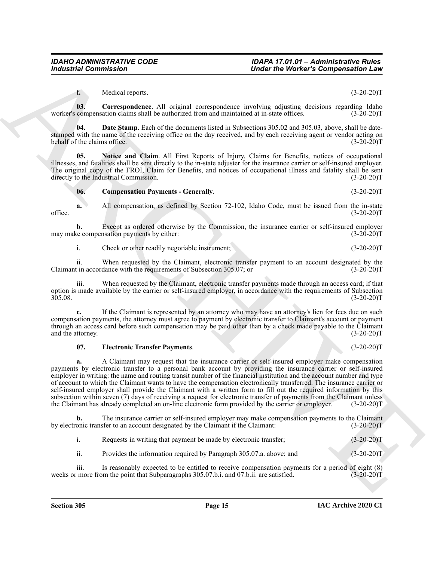<span id="page-14-2"></span><span id="page-14-1"></span>**f.** Medical reports. (3-20-20)T

**03.** Correspondence. All original correspondence involving adjusting decisions regarding Idaho compensation claims shall be authorized from and maintained at in-state offices. (3-20-20)T worker's compensation claims shall be authorized from and maintained at in-state offices.

**04. Date Stamp**. Each of the documents listed in Subsections 305.02 and 305.03, above, shall be datestamped with the name of the receiving office on the day received, and by each receiving agent or vendor acting on behalf of the claims office. (3-20-20)T

**05. Notice and Claim**. All First Reports of Injury, Claims for Benefits, notices of occupational illnesses, and fatalities shall be sent directly to the in-state adjuster for the insurance carrier or self-insured employer. The original copy of the FROI, Claim for Benefits, and notices of occupational illness and fatality shall be sent directly to the Industrial Commission. (3-20-20)T

#### <span id="page-14-4"></span><span id="page-14-0"></span>**06. Compensation Payments - Generally**. (3-20-20)T

**a.** All compensation, as defined by Section 72-102, Idaho Code, must be issued from the in-state office.  $(3-20-20)T$ 

**b.** Except as ordered otherwise by the Commission, the insurance carrier or self-insured employer is compensation payments by either: (3-20-20) may make compensation payments by either:

i. Check or other readily negotiable instrument; (3-20-20)T

ii. When requested by the Claimant, electronic transfer payment to an account designated by the t in accordance with the requirements of Subsection 305.07; or (3-20-20) Claimant in accordance with the requirements of Subsection 305.07; or

When requested by the Claimant, electronic transfer payments made through an access card; if that option is made available by the carrier or self-insured employer, in accordance with the requirements of Subsection 305.08. (3-20-20)T

**c.** If the Claimant is represented by an attorney who may have an attorney's lien for fees due on such compensation payments, the attorney must agree to payment by electronic transfer to Claimant's account or payment through an access card before such compensation may be paid other than by a check made payable to the Claimant and the attorney. (3-20-20)T and the attorney.

#### <span id="page-14-3"></span>**07. Electronic Transfer Payments**. (3-20-20)T

For the state of the Chinese distance and the state of the state of the state of the state of the state of the state of the state of the state of the state of the state of the state of the state of the state of the state **a.** A Claimant may request that the insurance carrier or self-insured employer make compensation payments by electronic transfer to a personal bank account by providing the insurance carrier or self-insured employer in writing: the name and routing transit number of the financial institution and the account number and type of account to which the Claimant wants to have the compensation electronically transferred. The insurance carrier or self-insured employer shall provide the Claimant with a written form to fill out the required information by this subsection within seven (7) days of receiving a request for electronic transfer of payments from the Claimant unless<br>the Claimant has already completed an on-line electronic form provided by the carrier or employer. (3-20the Claimant has already completed an on-line electronic form provided by the carrier or employer.

**b.** The insurance carrier or self-insured employer may make compensation payments to the Claimant by electronic transfer to an account designated by the Claimant if the Claimant: (3-20-20)T

| Requests in writing that payment be made by electronic transfer;    | $(3-20-20)T$ |
|---------------------------------------------------------------------|--------------|
| Provides the information required by Paragraph 305.07.a. above; and | $(3-20-20)T$ |

iii. Is reasonably expected to be entitled to receive compensation payments for a period of eight (8) r more from the point that Subparagraphs 305.07.b.i. and 07.b.ii. are satisfied. (3-20-20) weeks or more from the point that Subparagraphs 305.07.b.i. and 07.b.ii. are satisfied.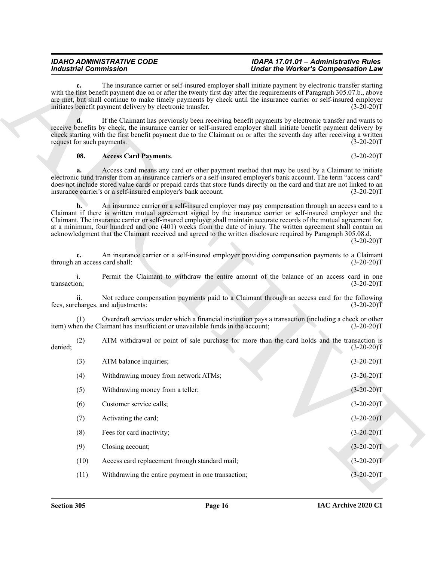#### <span id="page-15-0"></span>**08. Access Card Payments**. (3-20-20)T

| <b>Under the Worker's Compensation Law</b> |                                                                                                                                                                                                                                                                                                                                                                                                                                                                                                                                                                                 | <b>Industrial Commission</b>                                                  |                                  |
|--------------------------------------------|---------------------------------------------------------------------------------------------------------------------------------------------------------------------------------------------------------------------------------------------------------------------------------------------------------------------------------------------------------------------------------------------------------------------------------------------------------------------------------------------------------------------------------------------------------------------------------|-------------------------------------------------------------------------------|----------------------------------|
| $(3-20-20)T$                               | The insurance carrier or self-insured employer shall initiate payment by electronic transfer starting<br>with the first benefit payment due on or after the twenty first day after the requirements of Paragraph 305.07.b., above<br>are met, but shall continue to make timely payments by check until the insurance carrier or self-insured employer                                                                                                                                                                                                                          | initiates benefit payment delivery by electronic transfer.                    | c.                               |
| $(3-20-20)T$                               | If the Claimant has previously been receiving benefit payments by electronic transfer and wants to<br>receive benefits by check, the insurance carrier or self-insured employer shall initiate benefit payment delivery by<br>check starting with the first benefit payment due to the Claimant on or after the seventh day after receiving a written                                                                                                                                                                                                                           |                                                                               | d.<br>request for such payments. |
| $(3-20-20)T$                               |                                                                                                                                                                                                                                                                                                                                                                                                                                                                                                                                                                                 | <b>Access Card Payments.</b>                                                  | 08.                              |
| $(3-20-20)T$                               | Access card means any card or other payment method that may be used by a Claimant to initiate<br>electronic fund transfer from an insurance carrier's or a self-insured employer's bank account. The term "access card"<br>does not include stored value cards or prepaid cards that store funds directly on the card and that are not linked to an                                                                                                                                                                                                                             | insurance carrier's or a self-insured employer's bank account.                | a.                               |
| $(3-20-20)T$                               | An insurance carrier or a self-insured employer may pay compensation through an access card to a<br>Claimant if there is written mutual agreement signed by the insurance carrier or self-insured employer and the<br>Claimant. The insurance carrier or self-insured employer shall maintain accurate records of the mutual agreement for,<br>at a minimum, four hundred and one (401) weeks from the date of injury. The written agreement shall contain an<br>acknowledgment that the Claimant received and agreed to the written disclosure required by Paragraph 305.08.d. |                                                                               | b.                               |
| $(3-20-20)T$                               | An insurance carrier or a self-insured employer providing compensation payments to a Claimant                                                                                                                                                                                                                                                                                                                                                                                                                                                                                   | through an access card shall:                                                 | c.                               |
| $(3-20-20)T$                               | Permit the Claimant to withdraw the entire amount of the balance of an access card in one                                                                                                                                                                                                                                                                                                                                                                                                                                                                                       |                                                                               | i.<br>transaction;               |
| $(3-20-20)T$                               | Not reduce compensation payments paid to a Claimant through an access card for the following                                                                                                                                                                                                                                                                                                                                                                                                                                                                                    | fees, surcharges, and adjustments:                                            | ii.                              |
| $(3-20-20)T$                               | Overdraft services under which a financial institution pays a transaction (including a check or other                                                                                                                                                                                                                                                                                                                                                                                                                                                                           | item) when the Claimant has insufficient or unavailable funds in the account; | (1)                              |
| $(3-20-20)T$                               | ATM withdrawal or point of sale purchase for more than the card holds and the transaction is                                                                                                                                                                                                                                                                                                                                                                                                                                                                                    |                                                                               | (2)<br>denied;                   |
| $(3-20-20)T$                               |                                                                                                                                                                                                                                                                                                                                                                                                                                                                                                                                                                                 | ATM balance inquiries;                                                        | (3)                              |
| $(3-20-20)T$                               |                                                                                                                                                                                                                                                                                                                                                                                                                                                                                                                                                                                 | Withdrawing money from network ATMs;                                          | (4)                              |
| $(3-20-20)T$                               |                                                                                                                                                                                                                                                                                                                                                                                                                                                                                                                                                                                 | Withdrawing money from a teller;                                              | (5)                              |
| $(3-20-20)T$                               |                                                                                                                                                                                                                                                                                                                                                                                                                                                                                                                                                                                 | Customer service calls;                                                       | (6)                              |
| $(3-20-20)T$                               |                                                                                                                                                                                                                                                                                                                                                                                                                                                                                                                                                                                 | Activating the card;                                                          | (7)                              |
| $(3-20-20)T$                               |                                                                                                                                                                                                                                                                                                                                                                                                                                                                                                                                                                                 | Fees for card inactivity;                                                     | (8)                              |
| $(3-20-20)T$                               |                                                                                                                                                                                                                                                                                                                                                                                                                                                                                                                                                                                 | Closing account;                                                              | (9)                              |
| $(3-20-20)T$                               |                                                                                                                                                                                                                                                                                                                                                                                                                                                                                                                                                                                 | Access card replacement through standard mail;                                | (10)                             |
|                                            |                                                                                                                                                                                                                                                                                                                                                                                                                                                                                                                                                                                 |                                                                               |                                  |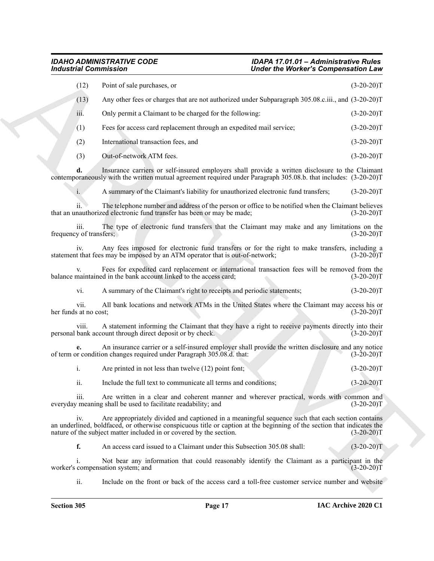| <b>Industrial Commission</b>                                                  |                                                                                                                                                                                                                            | <b>Under the Worker's Compensation Law</b> |
|-------------------------------------------------------------------------------|----------------------------------------------------------------------------------------------------------------------------------------------------------------------------------------------------------------------------|--------------------------------------------|
| (12)<br>Point of sale purchases, or                                           |                                                                                                                                                                                                                            | $(3-20-20)T$                               |
| (13)                                                                          | Any other fees or charges that are not authorized under Subparagraph 305.08.c.iii., and (3-20-20)T                                                                                                                         |                                            |
| iii.                                                                          | Only permit a Claimant to be charged for the following:                                                                                                                                                                    | $(3-20-20)T$                               |
| (1)                                                                           | Fees for access card replacement through an expedited mail service;                                                                                                                                                        | $(3-20-20)T$                               |
| (2)<br>International transaction fees, and                                    |                                                                                                                                                                                                                            | $(3-20-20)T$                               |
| (3)<br>Out-of-network ATM fees.                                               |                                                                                                                                                                                                                            | $(3-20-20)T$                               |
| d.                                                                            | Insurance carriers or self-insured employers shall provide a written disclosure to the Claimant<br>contemporaneously with the written mutual agreement required under Paragraph 305.08.b. that includes: (3-20-20)T        |                                            |
| i.                                                                            | A summary of the Claimant's liability for unauthorized electronic fund transfers;                                                                                                                                          | $(3-20-20)T$                               |
| 11.<br>that an unauthorized electronic fund transfer has been or may be made; | The telephone number and address of the person or office to be notified when the Claimant believes                                                                                                                         | $(3-20-20)T$                               |
| 111.<br>frequency of transfers;                                               | The type of electronic fund transfers that the Claimant may make and any limitations on the                                                                                                                                | $(3-20-20)T$                               |
| 1V.                                                                           | Any fees imposed for electronic fund transfers or for the right to make transfers, including a<br>statement that fees may be imposed by an ATM operator that is out-of-network;                                            | $(3-20-20)T$                               |
| V.<br>balance maintained in the bank account linked to the access card;       | Fees for expedited card replacement or international transaction fees will be removed from the                                                                                                                             | $(3-20-20)T$                               |
| vi.                                                                           | A summary of the Claimant's right to receipts and periodic statements;                                                                                                                                                     | $(3-20-20)T$                               |
| vii.<br>her funds at no cost;                                                 | All bank locations and network ATMs in the United States where the Claimant may access his or                                                                                                                              | $(3-20-20)T$                               |
| viii.<br>personal bank account through direct deposit or by check.            | A statement informing the Claimant that they have a right to receive payments directly into their                                                                                                                          | $(3-20-20)T$                               |
| e.<br>of term or condition changes required under Paragraph 305.08.d. that:   | An insurance carrier or a self-insured employer shall provide the written disclosure and any notice                                                                                                                        | $(3-20-20)T$                               |
| i.                                                                            | Are printed in not less than twelve (12) point font;                                                                                                                                                                       | $(3-20-20)T$                               |
| ii.                                                                           | Include the full text to communicate all terms and conditions;                                                                                                                                                             | $(3-20-20)T$                               |
| iii.<br>everyday meaning shall be used to facilitate readability; and         | Are written in a clear and coherent manner and wherever practical, words with common and                                                                                                                                   | $(3-20-20)T$                               |
| iv.<br>nature of the subject matter included in or covered by the section.    | Are appropriately divided and captioned in a meaningful sequence such that each section contains<br>an underlined, boldfaced, or otherwise conspicuous title or caption at the beginning of the section that indicates the | $(3-20-20)T$                               |
| f.                                                                            | An access card issued to a Claimant under this Subsection 305.08 shall:                                                                                                                                                    | $(3-20-20)T$                               |
| 1.<br>worker's compensation system; and                                       | Not bear any information that could reasonably identify the Claimant as a participant in the                                                                                                                               | $(3-20-20)T$                               |
| ii.                                                                           | Include on the front or back of the access card a toll-free customer service number and website                                                                                                                            |                                            |

| Are printed in not less than twelve $(12)$ point font; |  | $(3-20-20)T$ |
|--------------------------------------------------------|--|--------------|
|                                                        |  |              |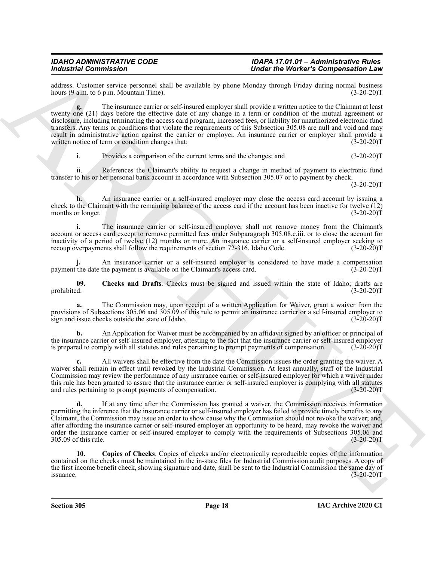address. Customer service personnel shall be available by phone Monday through Friday during normal business<br>hours (9 a.m. to 6 p.m. Mountain Time). (3-20-20) hours (9 a.m. to 6 p.m. Mountain Time).

For the content of the content of the second between the second between the content of the content of the second between the content of the content of the second between the content of the second between the content of th **g.** The insurance carrier or self-insured employer shall provide a written notice to the Claimant at least twenty one (21) days before the effective date of any change in a term or condition of the mutual agreement or disclosure, including terminating the access card program, increased fees, or liability for unauthorized electronic fund transfers. Any terms or conditions that violate the requirements of this Subsection 305.08 are null and void and may result in administrative action against the carrier or employer. An insurance carrier or employer shall provide a written notice of term or condition changes that: (3-20-20) written notice of term or condition changes that:

i. Provides a comparison of the current terms and the changes; and (3-20-20)T

ii. References the Claimant's ability to request a change in method of payment to electronic fund transfer to his or her personal bank account in accordance with Subsection 305.07 or to payment by check.

 $(3-20-20)T$ 

**h.** An insurance carrier or a self-insured employer may close the access card account by issuing a check to the Claimant with the remaining balance of the access card if the account has been inactive for twelve (12) months or longer. (3-20-20)T

**i.** The insurance carrier or self-insured employer shall not remove money from the Claimant's account or access card except to remove permitted fees under Subparagraph 305.08.c.iii. or to close the account for inactivity of a period of twelve (12) months or more. An insurance carrier or a self-insured employer seeking to recoup overpayments shall follow the requirements of section 72-316, Idaho Code. (3-20-20)T recoup overpayments shall follow the requirements of section 72-316, Idaho Code.

**j.** An insurance carrier or a self-insured employer is considered to have made a compensation the date the payment is available on the Claimant's access card. (3-20-20)<sup>T</sup> payment the date the payment is available on the Claimant's access card.

<span id="page-17-0"></span>**09.** Checks and Drafts. Checks must be signed and issued within the state of Idaho; drafts are prohibited. (3-20-20)T prohibited. (3-20-20)T

**a.** The Commission may, upon receipt of a written Application for Waiver, grant a waiver from the provisions of Subsections 305.06 and 305.09 of this rule to permit an insurance carrier or a self-insured employer to sign and issue checks outside the state of Idaho. (3-20-20) sign and issue checks outside the state of Idaho.

**b.** An Application for Waiver must be accompanied by an affidavit signed by an officer or principal of the insurance carrier or self-insured employer, attesting to the fact that the insurance carrier or self-insured employer is prepared to comply with all statutes and rules pertaining to prompt payments of compensation. (3-20-20)T

**c.** All waivers shall be effective from the date the Commission issues the order granting the waiver. A waiver shall remain in effect until revoked by the Industrial Commission. At least annually, staff of the Industrial Commission may review the performance of any insurance carrier or self-insured employer for which a waiver under this rule has been granted to assure that the insurance carrier or self-insured employer is complying with all statutes and rules pertaining to prompt payments of compensation. (3-20-20)T

**d.** If at any time after the Commission has granted a waiver, the Commission receives information permitting the inference that the insurance carrier or self-insured employer has failed to provide timely benefits to any Claimant, the Commission may issue an order to show cause why the Commission should not revoke the waiver; and, after affording the insurance carrier or self-insured employer an opportunity to be heard, may revoke the waiver and order the insurance carrier or self-insured employer to comply with the requirements of Subsections 305.06 and 305.09 of this rule. (3-20-20)T  $305.09$  of this rule.

<span id="page-17-1"></span>**10. Copies of Checks**. Copies of checks and/or electronically reproducible copies of the information contained on the checks must be maintained in the in-state files for Industrial Commission audit purposes. A copy of the first income benefit check, showing signature and date, shall be sent to the Industrial Commission the same day of issuance. (3-20-20) issuance.  $(3-20-20)T$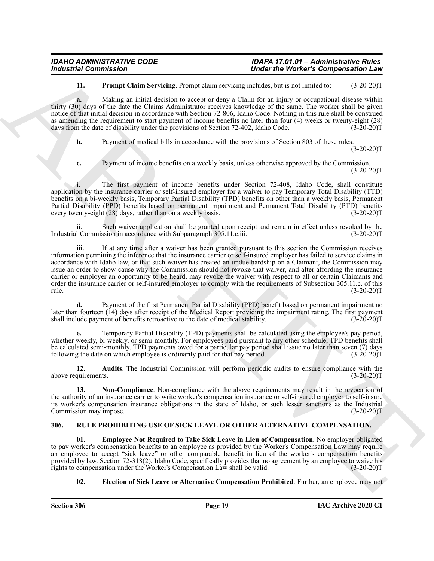## *Under the Worker's Compensation Law*

#### <span id="page-18-3"></span>**11. Prompt Claim Servicing**. Prompt claim servicing includes, but is not limited to: (3-20-20)T

**a.** Making an initial decision to accept or deny a Claim for an injury or occupational disease within thirty (30) days of the date the Claims Administrator receives knowledge of the same. The worker shall be given notice of that initial decision in accordance with Section 72-806, Idaho Code. Nothing in this rule shall be construed as amending the requirement to start payment of income benefits no later than four (4) weeks or twenty-eight (28) days from the date of disability under the provisions of Section 72-402, Idaho Code. (3-20-20)T days from the date of disability under the provisions of Section 72-402, Idaho Code.

**b.** Payment of medical bills in accordance with the provisions of Section 803 of these rules.  $(3-20-20)T$ 

**c.** Payment of income benefits on a weekly basis, unless otherwise approved by the Commission.  $(3-20-20)T$ 

The first payment of income benefits under Section 72-408, Idaho Code, shall constitute application by the insurance carrier or self-insured employer for a waiver to pay Temporary Total Disability (TTD) benefits on a bi-weekly basis, Temporary Partial Disability (TPD) benefits on other than a weekly basis, Permanent Partial Disability (PPD) benefits based on permanent impairment and Permanent Total Disability (PTD) benefits every twenty-eight (28) days, rather than on a weekly basis. (3-20-20)T

ii. Such waiver application shall be granted upon receipt and remain in effect unless revoked by the I Commission in accordance with Subparagraph 305.11.c.iii. (3-20-20) Industrial Commission in accordance with Subparagraph 305.11.c.iii.

For the state of the state of the state of the state of the state of the state of the state of the state of the state of the state of the state of the state of the state of the state of the state of the state of the state iii. If at any time after a waiver has been granted pursuant to this section the Commission receives information permitting the inference that the insurance carrier or self-insured employer has failed to service claims in accordance with Idaho law, or that such waiver has created an undue hardship on a Claimant, the Commission may issue an order to show cause why the Commission should not revoke that waiver, and after affording the insurance carrier or employer an opportunity to be heard, may revoke the waiver with respect to all or certain Claimants and order the insurance carrier or self-insured employer to comply with the requirements of Subsection 305.11.c. of this rule. (3-20-20)  $rule.$  (3-20-20)T

**d.** Payment of the first Permanent Partial Disability (PPD) benefit based on permanent impairment no later than fourteen (14) days after receipt of the Medical Report providing the impairment rating. The first payment shall include payment of benefits retroactive to the date of medical stability.

**e.** Temporary Partial Disability (TPD) payments shall be calculated using the employee's pay period, whether weekly, bi-weekly, or semi-monthly. For employees paid pursuant to any other schedule, TPD benefits shall be calculated semi-monthly. TPD payments owed for a particular pay period shall issue no later than seven (7) days following the date on which employee is ordinarily paid for that pay period. (3-20-20)T

<span id="page-18-1"></span>**12.** Audits. The Industrial Commission will perform periodic audits to ensure compliance with the quirements. (3-20-20) above requirements.

<span id="page-18-2"></span>**13. Non-Compliance**. Non-compliance with the above requirements may result in the revocation of the authority of an insurance carrier to write worker's compensation insurance or self-insured employer to self-insure its worker's compensation insurance obligations in the state of Idaho, or such lesser sanctions as the Industrial Commission may impose. (3-20-20)T

#### <span id="page-18-4"></span><span id="page-18-0"></span>**306. RULE PROHIBITING USE OF SICK LEAVE OR OTHER ALTERNATIVE COMPENSATION.**

<span id="page-18-6"></span>**01. Employee Not Required to Take Sick Leave in Lieu of Compensation**. No employer obligated to pay worker's compensation benefits to an employee as provided by the Worker's Compensation Law may require an employee to accept "sick leave" or other comparable benefit in lieu of the worker's compensation benefits provided by law. Section 72-318(2), Idaho Code, specifically provides that no agreement by an employee to waive his rights to compensation under the Worker's Compensation Law shall be valid. (3-20-20)T rights to compensation under the Worker's Compensation Law shall be valid.

#### <span id="page-18-5"></span>**02. Election of Sick Leave or Alternative Compensation Prohibited**. Further, an employee may not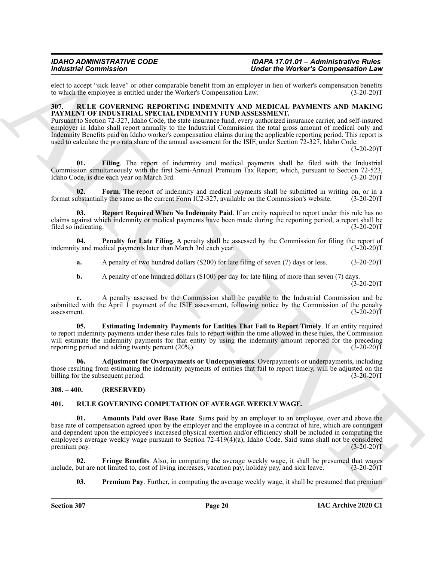elect to accept "sick leave" or other comparable benefit from an employer in lieu of worker's compensation benefits<br>to which the employee is entitled under the Worker's Compensation Law. (3-20-20) to which the employee is entitled under the Worker's Compensation Law.

#### <span id="page-19-7"></span><span id="page-19-0"></span>**307. RULE GOVERNING REPORTING INDEMNITY AND MEDICAL PAYMENTS AND MAKING PAYMENT OF INDUSTRIAL SPECIAL INDEMNITY FUND ASSESSMENT.**

Pursuant to Section 72-327, Idaho Code, the state insurance fund, every authorized insurance carrier, and self-insured employer in Idaho shall report annually to the Industrial Commission the total gross amount of medical only and Indemnity Benefits paid on Idaho worker's compensation claims during the applicable reporting period. This report is used to calculate the pro rata share of the annual assessment for the ISIF, under Section 72-327, Idaho Code.

 $(3-20-20)T$ 

<span id="page-19-10"></span>**01. Filing**. The report of indemnity and medical payments shall be filed with the Industrial Commission simultaneously with the first Semi-Annual Premium Tax Report; which, pursuant to Section 72-523, Idaho Code, is due each year on March 3rd. (3-20-20)T

<span id="page-19-11"></span>**02.** Form. The report of indemnity and medical payments shall be submitted in writing on, or in a ubstantially the same as the current Form IC2-327, available on the Commission's website. (3-20-20)T format substantially the same as the current Form IC2-327, available on the Commission's website.

<span id="page-19-13"></span>**Report Required When No Indemnity Paid.** If an entity required to report under this rule has no claims against which indemnity or medical payments have been made during the reporting period, a report shall be filed so indicating. (3-20-20) filed so indicating.

**04. Penalty for Late Filing**. A penalty shall be assessed by the Commission for filing the report of y and medical payments later than March 3rd each year. (3-20-20) indemnity and medical payments later than March 3rd each year.

<span id="page-19-12"></span>**a.** A penalty of two hundred dollars (\$200) for late filing of seven (7) days or less. (3-20-20)T

<span id="page-19-9"></span>**b.** A penalty of one hundred dollars (\$100) per day for late filing of more than seven (7) days.  $(3-20-20)$ T

**c.** A penalty assessed by the Commission shall be payable to the Industrial Commission and be submitted with the April 1 payment of the ISIF assessment, following notice by the Commission of the penalty assessment. (3-20-20)T assessment. (3-20-20)T

**05. Estimating Indemnity Payments for Entities That Fail to Report Timely**. If an entity required to report indemnity payments under these rules fails to report within the time allowed in these rules, the Commission will estimate the indemnity payments for that entity by using the indemnity amount reported for the preceding reporting period and adding twenty percent (20%). (3-20-20) reporting period and adding twenty percent  $(20\%)$ .

<span id="page-19-8"></span>**06. Adjustment for Overpayments or Underpayments**. Overpayments or underpayments, including those resulting from estimating the indemnity payments of entities that fail to report timely, will be adjusted on the billing for the subsequent period. (3-20-20)T

#### <span id="page-19-1"></span>**308. – 400. (RESERVED)**

#### <span id="page-19-4"></span><span id="page-19-3"></span><span id="page-19-2"></span>**401. RULE GOVERNING COMPUTATION OF AVERAGE WEEKLY WAGE.**

For the strength of the strength of the strength of the strength of the strength of the strength of the strength of the strength of the strength of the strength of the strength of the strength of the strength of the stren **01. Amounts Paid over Base Rate**. Sums paid by an employer to an employee, over and above the base rate of compensation agreed upon by the employer and the employee in a contract of hire, which are contingent and dependent upon the employee's increased physical exertion and/or efficiency shall be included in computing the employee's average weekly wage pursuant to Section 72-419(4)(a), Idaho Code. Said sums shall not be considered premium pay.  $(3-20-20)$ T

**02.** Fringe Benefits. Also, in computing the average weekly wage, it shall be presumed that wages but are not limited to, cost of living increases, vacation pay, holiday pay, and sick leave. (3-20-20)T include, but are not limited to, cost of living increases, vacation pay, holiday pay, and sick leave.

<span id="page-19-6"></span><span id="page-19-5"></span>**03.** Premium Pay. Further, in computing the average weekly wage, it shall be presumed that premium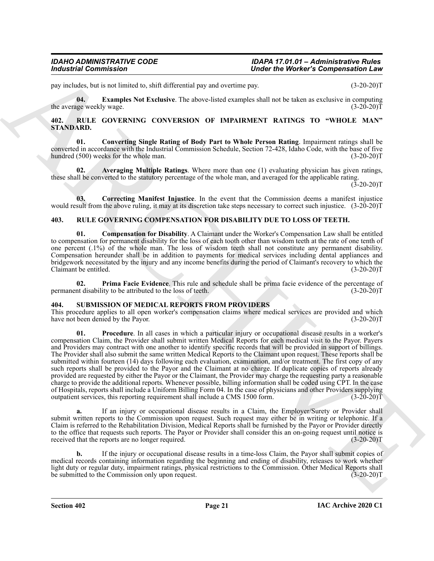pay includes, but is not limited to, shift differential pay and overtime pay. (3-20-20)T

<span id="page-20-6"></span>**04. Examples Not Exclusive**. The above-listed examples shall not be taken as exclusive in computing the average weekly wage.

#### <span id="page-20-7"></span><span id="page-20-0"></span>**402. RULE GOVERNING CONVERSION OF IMPAIRMENT RATINGS TO "WHOLE MAN" STANDARD.**

<span id="page-20-9"></span>**01. Converting Single Rating of Body Part to Whole Person Rating**. Impairment ratings shall be converted in accordance with the Industrial Commission Schedule, Section 72-428, Idaho Code, with the base of five hundred (500) weeks for the whole man. (3-20-20)T

<span id="page-20-8"></span>**02. Averaging Multiple Ratings**. Where more than one (1) evaluating physician has given ratings, these shall be converted to the statutory percentage of the whole man, and averaged for the applicable rating.

 $(3-20-20)T$ 

<span id="page-20-10"></span>**03. Correcting Manifest Injustice**. In the event that the Commission deems a manifest injustice would result from the above ruling, it may at its discretion take steps necessary to correct such injustice.  $(3-20-20)$ T

#### <span id="page-20-3"></span><span id="page-20-1"></span>**403. RULE GOVERNING COMPENSATION FOR DISABILITY DUE TO LOSS OF TEETH.**

<span id="page-20-4"></span>**01. Compensation for Disability**. A Claimant under the Worker's Compensation Law shall be entitled to compensation for permanent disability for the loss of each tooth other than wisdom teeth at the rate of one tenth of one percent (.1%) of the whole man. The loss of wisdom teeth shall not constitute any permanent disability. Compensation hereunder shall be in addition to payments for medical services including dental appliances and bridgework necessitated by the injury and any income benefits during the period of Claimant's recovery to which the Claimant be entitled.

<span id="page-20-5"></span>**02.** Prima Facie Evidence. This rule and schedule shall be prima facie evidence of the percentage of the the disability to be attributed to the loss of teeth. permanent disability to be attributed to the loss of teeth.

#### <span id="page-20-11"></span><span id="page-20-2"></span>**404. SUBMISSION OF MEDICAL REPORTS FROM PROVIDERS**

<span id="page-20-12"></span>This procedure applies to all open worker's compensation claims where medical services are provided and which have not been denied by the Payor. (3-20-20)T

For the state of the matrix in the state of the state of the state of the state of the state of the state of the state of the state of the state of the state of the state of the state of the state of the state of the stat **01. Procedure**. In all cases in which a particular injury or occupational disease results in a worker's compensation Claim, the Provider shall submit written Medical Reports for each medical visit to the Payor. Payers and Providers may contract with one another to identify specific records that will be provided in support of billings. The Provider shall also submit the same written Medical Reports to the Claimant upon request. These reports shall be submitted within fourteen (14) days following each evaluation, examination, and/or treatment. The first copy of any such reports shall be provided to the Payor and the Claimant at no charge. If duplicate copies of reports already provided are requested by either the Payor or the Claimant, the Provider may charge the requesting party a reasonable charge to provide the additional reports. Whenever possible, billing information shall be coded using CPT. In the case of Hospitals, reports shall include a Uniform Billing Form 04. In the case of physicians and other Providers supplying outpatient services, this reporting requirement shall include a CMS 1500 form.  $(3-20-20)$ outpatient services, this reporting requirement shall include a CMS 1500 form.

**a.** If an injury or occupational disease results in a Claim, the Employer/Surety or Provider shall submit written reports to the Commission upon request. Such request may either be in writing or telephonic. If a Claim is referred to the Rehabilitation Division, Medical Reports shall be furnished by the Payor or Provider directly to the office that requests such reports. The Payor or Provider shall consider this an on-going request until notice is received that the reports are no longer required. (3-20-20) received that the reports are no longer required.

**b.** If the injury or occupational disease results in a time-loss Claim, the Payor shall submit copies of medical records containing information regarding the beginning and ending of disability, releases to work whether light duty or regular duty, impairment ratings, physical restrictions to the Commission. Other Medical Reports shall<br>be submitted to the Commission only upon request. (3-20-20) be submitted to the Commission only upon request.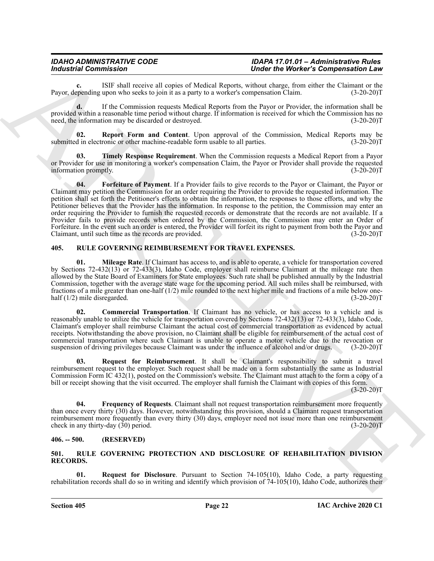## *IDAHO ADMINISTRATIVE CODE IDAPA 17.01.01 – Administrative Rules*

**c.** ISIF shall receive all copies of Medical Reports, without charge, from either the Claimant or the pending upon who seeks to join it as a party to a worker's compensation Claim. (3-20-20) Payor, depending upon who seeks to join it as a party to a worker's compensation Claim.

**d.** If the Commission requests Medical Reports from the Payor or Provider, the information shall be provided within a reasonable time period without charge. If information is received for which the Commission has no need, the information may be discarded or destroyed. (3-20-20)T

<span id="page-21-11"></span>**02. Report Form and Content**. Upon approval of the Commission, Medical Reports may be submitted in electronic or other machine-readable form usable to all parties. (3-20-20)T

<span id="page-21-12"></span><span id="page-21-10"></span>**03. Timely Response Requirement**. When the Commission requests a Medical Report from a Payor or Provider for use in monitoring a worker's compensation Claim, the Payor or Provider shall provide the requested<br>
(3-20-20)T information promptly.

For the state of the state of the state of the state of the best in the state of the state of the state of the state of the state of the state of the state of the state of the state of the state of the state of the state **04. Forfeiture of Payment**. If a Provider fails to give records to the Payor or Claimant, the Payor or Claimant may petition the Commission for an order requiring the Provider to provide the requested information. The petition shall set forth the Petitioner's efforts to obtain the information, the responses to those efforts, and why the Petitioner believes that the Provider has the information. In response to the petition, the Commission may enter an order requiring the Provider to furnish the requested records or demonstrate that the records are not available. If a Provider fails to provide records when ordered by the Commission, the Commission may enter an Order of Forfeiture. In the event such an order is entered, the Provider will forfeit its right to payment from both the Payor and Claimant, until such time as the records are provided. (3-20-20) Claimant, until such time as the records are provided.

#### <span id="page-21-5"></span><span id="page-21-0"></span>**405. RULE GOVERNING REIMBURSEMENT FOR TRAVEL EXPENSES.**

<span id="page-21-8"></span>**01. Mileage Rate**. If Claimant has access to, and is able to operate, a vehicle for transportation covered by Sections 72-432(13) or 72-433(3), Idaho Code, employer shall reimburse Claimant at the mileage rate then allowed by the State Board of Examiners for State employees. Such rate shall be published annually by the Industrial Commission, together with the average state wage for the upcoming period. All such miles shall be reimbursed, with fractions of a mile greater than one-half (1/2) mile rounded to the next higher mile and fractions of a mile below one-<br>half (1/2) mile disregarded. (3-20-20) half  $(1/2)$  mile disregarded.

<span id="page-21-6"></span>**02. Commercial Transportation**. If Claimant has no vehicle, or has access to a vehicle and is reasonably unable to utilize the vehicle for transportation covered by Sections 72-432(13) or 72-433(3), Idaho Code, Claimant's employer shall reimburse Claimant the actual cost of commercial transportation as evidenced by actual receipts. Notwithstanding the above provision, no Claimant shall be eligible for reimbursement of the actual cost of commercial transportation where such Claimant is unable to operate a motor vehicle due to the revocation or suspension of driving privileges because Claimant was under the influence of alcohol and/or drugs. (3-20-20)T

<span id="page-21-9"></span>**03. Request for Reimbursement**. It shall be Claimant's responsibility to submit a travel reimbursement request to the employer. Such request shall be made on a form substantially the same as Industrial Commission Form IC 432(1), posted on the Commission's website. The Claimant must attach to the form a copy of a bill or receipt showing that the visit occurred. The employer shall furnish the Claimant with copies of this form.

 $(3-20-20)T$ 

<span id="page-21-7"></span>**04. Frequency of Requests**. Claimant shall not request transportation reimbursement more frequently than once every thirty (30) days. However, notwithstanding this provision, should a Claimant request transportation reimbursement more frequently than every thirty (30) days, employer need not issue more than one reimbursement check in any thirty-day (30) period. (3-20-20) check in any thirty-day  $(30)$  period.

#### <span id="page-21-1"></span>**406. -- 500. (RESERVED)**

#### <span id="page-21-3"></span><span id="page-21-2"></span>**501. RULE GOVERNING PROTECTION AND DISCLOSURE OF REHABILITATION DIVISION RECORDS.**

<span id="page-21-4"></span>**01. Request for Disclosure**. Pursuant to Section 74-105(10), Idaho Code, a party requesting rehabilitation records shall do so in writing and identify which provision of 74-105(10), Idaho Code, authorizes their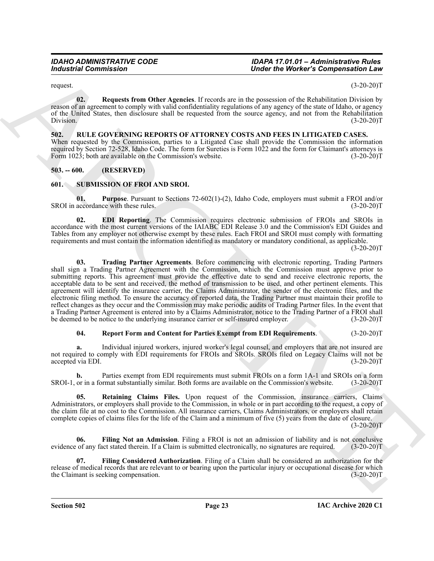<span id="page-22-3"></span>

request.  $(3-20-20)T$ 

**02. Requests from Other Agencies**. If records are in the possession of the Rehabilitation Division by reason of an agreement to comply with valid confidentiality regulations of any agency of the state of Idaho, or agency of the United States, then disclosure shall be requested from the source agency, and not from the Rehabilitation Division. (3-20-20)T

<span id="page-22-4"></span><span id="page-22-0"></span>**502. RULE GOVERNING REPORTS OF ATTORNEY COSTS AND FEES IN LITIGATED CASES.** When requested by the Commission, parties to a Litigated Case shall provide the Commission the information required by Section 72-528, Idaho Code. The form for Sureties is Form 1022 and the form for Claimant's attorneys is Form 1023; both are available on the Commission's website. (3-20-20)T

### <span id="page-22-1"></span>**503. -- 600. (RESERVED)**

### <span id="page-22-5"></span><span id="page-22-2"></span>**601. SUBMISSION OF FROI AND SROI.**

<span id="page-22-9"></span>**01.** Purpose. Pursuant to Sections 72-602(1)-(2), Idaho Code, employers must submit a FROI and/or accordance with these rules. (3-20-20)T SROI in accordance with these rules.

<span id="page-22-12"></span><span id="page-22-6"></span>**02. EDI Reporting**. The Commission requires electronic submission of FROIs and SROIs in accordance with the most current versions of the IAIABC EDI Release 3.0 and the Commission's EDI Guides and Tables from any employer not otherwise exempt by these rules. Each FROI and SROI must comply with formatting requirements and must contain the information identified as mandatory or mandatory conditional, as applicable.

 $(3-20-20)T$ 

For the United States and the United States and States and States and States and States and States and States and States and States and States and States and States and States and States and States and States and States a **03. Trading Partner Agreements**. Before commencing with electronic reporting, Trading Partners shall sign a Trading Partner Agreement with the Commission, which the Commission must approve prior to submitting reports. This agreement must provide the effective date to send and receive electronic reports, the acceptable data to be sent and received, the method of transmission to be used, and other pertinent elements. This agreement will identify the insurance carrier, the Claims Administrator, the sender of the electronic files, and the electronic filing method. To ensure the accuracy of reported data, the Trading Partner must maintain their profile to reflect changes as they occur and the Commission may make periodic audits of Trading Partner files. In the event that a Trading Partner Agreement is entered into by a Claims Administrator, notice to the Trading Partner of a FROI shall<br>be deemed to be notice to the underlying insurance carrier or self-insured employer. (3-20-20) be deemed to be notice to the underlying insurance carrier or self-insured employer.

#### <span id="page-22-10"></span>**04. Report Form and Content for Parties Exempt from EDI Requirements**. (3-20-20)T

**a.** Individual injured workers, injured worker's legal counsel, and employers that are not insured are not required to comply with EDI requirements for FROIs and SROIs. SROIs filed on Legacy Claims will not be accepted via EDI. (3-20-20)T accepted via EDI.

**b.** Parties exempt from EDI requirements must submit FROIs on a form 1A-1 and SROIs on a form SROI-1, or in a format substantially similar. Both forms are available on the Commission's website. (3-20-20)T

<span id="page-22-11"></span>**05. Retaining Claims Files.** Upon request of the Commission, insurance carriers, Claims Administrators, or employers shall provide to the Commission, in whole or in part according to the request, a copy of the claim file at no cost to the Commission. All insurance carriers, Claims Administrators, or employers shall retain complete copies of claims files for the life of the Claim and a minimum of five (5) years from the date of closure.  $(3-20-20)T$ 

<span id="page-22-8"></span>**06. Filing Not an Admission**. Filing a FROI is not an admission of liability and is not conclusive evidence of any fact stated therein. If a Claim is submitted electronically, no signatures are required. (3-20-20)T

<span id="page-22-7"></span>**07. Filing Considered Authorization**. Filing of a Claim shall be considered an authorization for the release of medical records that are relevant to or bearing upon the particular injury or occupational disease for which<br>the Claimant is seeking compensation. (3-20-20) the Claimant is seeking compensation.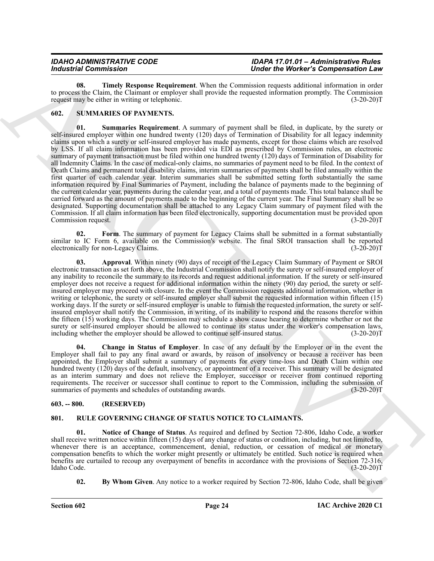<span id="page-23-6"></span>**08. Timely Response Requirement**. When the Commission requests additional information in order to process the Claim, the Claimant or employer shall provide the requested information promptly. The Commission request may be either in writing or telephonic. (3-20-20) request may be either in writing or telephonic.

#### <span id="page-23-11"></span><span id="page-23-7"></span><span id="page-23-0"></span>**602. SUMMARIES OF PAYMENTS.**

For the state of the state of the state of the state of the state of the state of the state of the state of the state of the state of the state of the state of the state of the state of the state of the state of the state **01. Summaries Requirement**. A summary of payment shall be filed, in duplicate, by the surety or self-insured employer within one hundred twenty (120) days of Termination of Disability for all legacy indemnity claims upon which a surety or self-insured employer has made payments, except for those claims which are resolved by LSS. If all claim information has been provided via EDI as prescribed by Commission rules, an electronic summary of payment transaction must be filed within one hundred twenty (120) days of Termination of Disability for all Indemnity Claims. In the case of medical-only claims, no summaries of payment need to be filed. In the context of Death Claims and permanent total disability claims, interim summaries of payments shall be filed annually within the first quarter of each calendar year. Interim summaries shall be submitted setting forth substantially the same information required by Final Summaries of Payment, including the balance of payments made to the beginning of the current calendar year, payments during the calendar year, and a total of payments made. This total balance shall be carried forward as the amount of payments made to the beginning of the current year. The Final Summary shall be so designated. Supporting documentation shall be attached to any Legacy Claim summary of payment filed with the Commission. If all claim information has been filed electronically, supporting documentation must be provided upon Commission request. (3-20-20)T

<span id="page-23-10"></span>**02. Form**. The summary of payment for Legacy Claims shall be submitted in a format substantially similar to IC Form 6, available on the Commission's website. The final SROI transaction shall be reported electronically for non-Legacy Claims. (3-20-20) electronically for non-Legacy Claims.

<span id="page-23-8"></span>**03. Approval**. Within ninety (90) days of receipt of the Legacy Claim Summary of Payment or SROI electronic transaction as set forth above, the Industrial Commission shall notify the surety or self-insured employer of any inability to reconcile the summary to its records and request additional information. If the surety or self-insured employer does not receive a request for additional information within the ninety (90) day period, the surety or selfinsured employer may proceed with closure. In the event the Commission requests additional information, whether in writing or telephonic, the surety or self-insured employer shall submit the requested information within fifteen (15) working days. If the surety or self-insured employer is unable to furnish the requested information, the surety or selfinsured employer shall notify the Commission, in writing, of its inability to respond and the reasons therefor within the fifteen (15) working days. The Commission may schedule a show cause hearing to determine whether or not the surety or self-insured employer should be allowed to continue its status under the worker's compensation laws, including whether the employer should be allowed to continue self-insured status. (3-20-20) including whether the employer should be allowed to continue self-insured status.

<span id="page-23-9"></span>**04. Change in Status of Employer**. In case of any default by the Employer or in the event the Employer shall fail to pay any final award or awards, by reason of insolvency or because a receiver has been appointed, the Employer shall submit a summary of payments for every time-loss and Death Claim within one hundred twenty (120) days of the default, insolvency, or appointment of a receiver. This summary will be designated as an interim summary and does not relieve the Employer, successor or receiver from continued reporting requirements. The receiver or successor shall continue to report to the Commission, including the submission of summaries of payments and schedules of outstanding awards. (3-20-20) summaries of payments and schedules of outstanding awards.

### <span id="page-23-1"></span>**603. -- 800. (RESERVED)**

### <span id="page-23-3"></span><span id="page-23-2"></span>**801. RULE GOVERNING CHANGE OF STATUS NOTICE TO CLAIMANTS.**

<span id="page-23-5"></span>**01. Notice of Change of Status**. As required and defined by Section 72-806, Idaho Code, a worker shall receive written notice within fifteen (15) days of any change of status or condition, including, but not limited to, whenever there is an acceptance, commencement, denial, reduction, or cessation of medical or monetary compensation benefits to which the worker might presently or ultimately be entitled. Such notice is required when benefits are curtailed to recoup any overpayment of benefits in accordance with the provisions of Section 72-316, Idaho Code. (3-20-20)T Idaho Code. (3-20-20)T

<span id="page-23-4"></span>**02.** By Whom Given. Any notice to a worker required by Section 72-806, Idaho Code, shall be given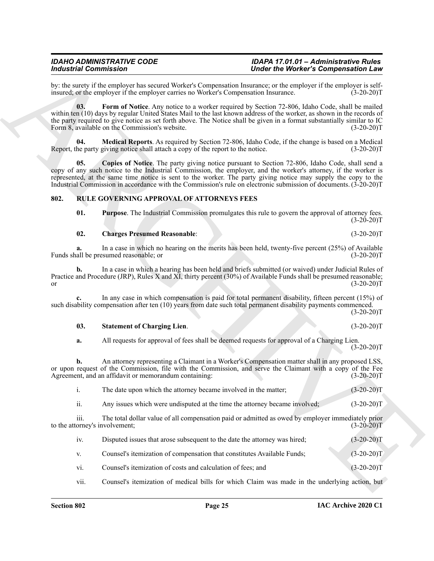#### <span id="page-24-0"></span>**802. RULE GOVERNING APPROVAL OF ATTORNEYS FEES**

<span id="page-24-7"></span><span id="page-24-5"></span><span id="page-24-3"></span><span id="page-24-1"></span>

| 01. |  |  | <b>Purpose</b> . The Industrial Commission promulgates this rule to govern the approval of attorney fees. |              |
|-----|--|--|-----------------------------------------------------------------------------------------------------------|--------------|
|     |  |  |                                                                                                           | $(3-20-20)T$ |

#### <span id="page-24-2"></span>**02. Charges Presumed Reasonable**: (3-20-20)T

#### <span id="page-24-4"></span>**03. Statement of Charging Lien**. (3-20-20)T

|     | The date upon which the attorney became involved in the matter;            | $(3-20-20)T$ |
|-----|----------------------------------------------------------------------------|--------------|
| 11. | Any issues which were undisputed at the time the attorney became involved; | $(3-20-20)T$ |

<span id="page-24-6"></span>

| <b>Industrial Commission</b>                                                            | <b>Under the Worker's Compensation Law</b>                                                                                                                                                                                                                                                                                                                                                                                                              |  |
|-----------------------------------------------------------------------------------------|---------------------------------------------------------------------------------------------------------------------------------------------------------------------------------------------------------------------------------------------------------------------------------------------------------------------------------------------------------------------------------------------------------------------------------------------------------|--|
| insured; or the employer if the employer carries no Worker's Compensation Insurance.    | by: the surety if the employer has secured Worker's Compensation Insurance; or the employer if the employer is self-<br>$(3-20-20)T$                                                                                                                                                                                                                                                                                                                    |  |
| 03.<br>Form 8, available on the Commission's website.                                   | Form of Notice. Any notice to a worker required by Section 72-806, Idaho Code, shall be mailed<br>within ten (10) days by regular United States Mail to the last known address of the worker, as shown in the records of<br>the party required to give notice as set forth above. The Notice shall be given in a format substantially similar to IC<br>$(3-20-20)T$                                                                                     |  |
| 04.<br>Report, the party giving notice shall attach a copy of the report to the notice. | Medical Reports. As required by Section 72-806, Idaho Code, if the change is based on a Medical<br>$(3-20-20)T$                                                                                                                                                                                                                                                                                                                                         |  |
| 05.                                                                                     | Copies of Notice. The party giving notice pursuant to Section 72-806, Idaho Code, shall send a<br>copy of any such notice to the Industrial Commission, the employer, and the worker's attorney, if the worker is<br>represented, at the same time notice is sent to the worker. The party giving notice may supply the copy to the<br>Industrial Commission in accordance with the Commission's rule on electronic submission of documents. (3-20-20)T |  |
| RULE GOVERNING APPROVAL OF ATTORNEYS FEES                                               |                                                                                                                                                                                                                                                                                                                                                                                                                                                         |  |
| 01.                                                                                     | <b>Purpose</b> . The Industrial Commission promulgates this rule to govern the approval of attorney fees.<br>$(3-20-20)T$                                                                                                                                                                                                                                                                                                                               |  |
| 02.<br><b>Charges Presumed Reasonable:</b>                                              | $(3-20-20)T$                                                                                                                                                                                                                                                                                                                                                                                                                                            |  |
| a.<br>Funds shall be presumed reasonable; or                                            | In a case in which no hearing on the merits has been held, twenty-five percent (25%) of Available<br>$(3-20-20)T$                                                                                                                                                                                                                                                                                                                                       |  |
| b.                                                                                      | In a case in which a hearing has been held and briefs submitted (or waived) under Judicial Rules of<br>Practice and Procedure (JRP), Rules X and XI, thirty percent (30%) of Available Funds shall be presumed reasonable;<br>$(3-20-20)T$                                                                                                                                                                                                              |  |
|                                                                                         | In any case in which compensation is paid for total permanent disability, fifteen percent (15%) of<br>such disability compensation after ten (10) years from date such total permanent disability payments commenced.<br>$(3-20-20)T$                                                                                                                                                                                                                   |  |
| 03.<br><b>Statement of Charging Lien.</b>                                               | $(3-20-20)T$                                                                                                                                                                                                                                                                                                                                                                                                                                            |  |
| a.                                                                                      | All requests for approval of fees shall be deemed requests for approval of a Charging Lien.<br>$(3-20-20)T$                                                                                                                                                                                                                                                                                                                                             |  |
| $\mathbf{b}$ .<br>Agreement, and an affidavit or memorandum containing:                 | An attorney representing a Claimant in a Worker's Compensation matter shall in any proposed LSS,<br>or upon request of the Commission, file with the Commission, and serve the Claimant with a copy of the Fee<br>$(3-20-20)T$                                                                                                                                                                                                                          |  |
| The date upon which the attorney became involved in the matter;                         | $(3-20-20)T$                                                                                                                                                                                                                                                                                                                                                                                                                                            |  |
| ii.<br>Any issues which were undisputed at the time the attorney became involved;       | $(3-20-20)T$                                                                                                                                                                                                                                                                                                                                                                                                                                            |  |
| iii.<br>to the attorney's involvement;                                                  | The total dollar value of all compensation paid or admitted as owed by employer immediately prior<br>$(3-20-20)T$                                                                                                                                                                                                                                                                                                                                       |  |
| iv.<br>Disputed issues that arose subsequent to the date the attorney was hired;        | $(3-20-20)T$                                                                                                                                                                                                                                                                                                                                                                                                                                            |  |
| Counsel's itemization of compensation that constitutes Available Funds;<br>V.           | $(3-20-20)T$                                                                                                                                                                                                                                                                                                                                                                                                                                            |  |
|                                                                                         |                                                                                                                                                                                                                                                                                                                                                                                                                                                         |  |
| vi.<br>Counsel's itemization of costs and calculation of fees; and                      | $(3-20-20)T$                                                                                                                                                                                                                                                                                                                                                                                                                                            |  |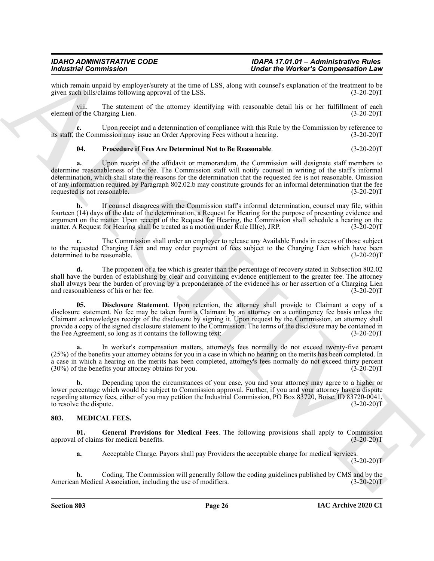which remain unpaid by employer/surety at the time of LSS, along with counsel's explanation of the treatment to be given such bills/claims following approval of the LSS. (3-20-20) given such bills/claims following approval of the LSS.

viii. The statement of the attorney identifying with reasonable detail his or her fulfillment of each element of the Charging Lien. (3-20-20)T

**c.** Upon receipt and a determination of compliance with this Rule by the Commission by reference to the Commission may issue an Order Approving Fees without a hearing. (3-20-20) its staff, the Commission may issue an Order Approving Fees without a hearing.

#### <span id="page-25-4"></span>**04. Procedure if Fees Are Determined Not to Be Reasonable**. (3-20-20)T

For the commute control of the Society of the Society of the Society of the Society of the Society of the Society of the Society of the Society of the Society of the Society of the Society of the Society of the Society of **a.** Upon receipt of the affidavit or memorandum, the Commission will designate staff members to determine reasonableness of the fee. The Commission staff will notify counsel in writing of the staff's informal determination, which shall state the reasons for the determination that the requested fee is not reasonable. Omission of any information required by Paragraph 802.02.b may constitute grounds for an informal determination that the fee requested is not reasonable.

**b.** If counsel disagrees with the Commission staff's informal determination, counsel may file, within fourteen (14) days of the date of the determination, a Request for Hearing for the purpose of presenting evidence and argument on the matter. Upon receipt of the Request for Hearing, the Commission shall schedule a hearing on the<br>matter. A Request for Hearing shall be treated as a motion under Rule III(e), JRP. (3-20-20) matter. A Request for Hearing shall be treated as a motion under Rule III $(e)$ , JRP.

**c.** The Commission shall order an employer to release any Available Funds in excess of those subject to the requested Charging Lien and may order payment of fees subject to the Charging Lien which have been determined to be reasonable. (3-20-20)T

**d.** The proponent of a fee which is greater than the percentage of recovery stated in Subsection 802.02 shall have the burden of establishing by clear and convincing evidence entitlement to the greater fee. The attorney shall always bear the burden of proving by a preponderance of the evidence his or her assertion of a Charging Lien<br>and reasonableness of his or her fee. (3-20-20)T and reasonableness of his or her fee.

<span id="page-25-3"></span>**05. Disclosure Statement**. Upon retention, the attorney shall provide to Claimant a copy of a disclosure statement. No fee may be taken from a Claimant by an attorney on a contingency fee basis unless the Claimant acknowledges receipt of the disclosure by signing it. Upon request by the Commission, an attorney shall provide a copy of the signed disclosure statement to the Commission. The terms of the disclosure may be contained in the Fee Agreement, so long as it contains the following text: (3-20-20)T

**a.** In worker's compensation matters, attorney's fees normally do not exceed twenty-five percent (25%) of the benefits your attorney obtains for you in a case in which no hearing on the merits has been completed. In a case in which a hearing on the merits has been completed, attorney's fees normally do not exceed thirty percent (30%) of the benefits your attorney obtains for you. (3-20-20)  $(30\%)$  of the benefits your attorney obtains for you.

**b.** Depending upon the circumstances of your case, you and your attorney may agree to a higher or lower percentage which would be subject to Commission approval. Further, if you and your attorney have a dispute regarding attorney fees, either of you may petition the Industrial Commission, PO Box 83720, Boise, ID 83720-0041, to resolve the dispute. (3-20-20)T to resolve the dispute.

#### <span id="page-25-1"></span><span id="page-25-0"></span>**803. MEDICAL FEES.**

**01.** General Provisions for Medical Fees. The following provisions shall apply to Commission of claims for medical benefits. (3-20-20)T approval of claims for medical benefits.

<span id="page-25-2"></span>**a.** Acceptable Charge. Payors shall pay Providers the acceptable charge for medical services.

 $(3-20-20)T$ 

**b.** Coding. The Commission will generally follow the coding guidelines published by CMS and by the n Medical Association, including the use of modifiers. (3-20-20) American Medical Association, including the use of modifiers.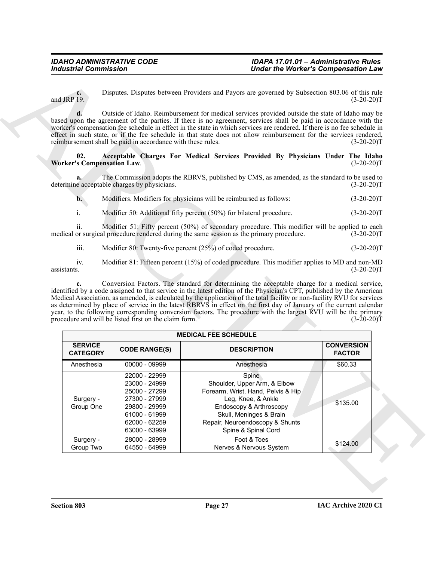<span id="page-26-0"></span>

| <b>Industrial Commission</b>      |                                                                                    |                                                                                                                                                                                                                                                                                                                                                                                                                                                                                             | <b>Under the Worker's Compensation Law</b> |
|-----------------------------------|------------------------------------------------------------------------------------|---------------------------------------------------------------------------------------------------------------------------------------------------------------------------------------------------------------------------------------------------------------------------------------------------------------------------------------------------------------------------------------------------------------------------------------------------------------------------------------------|--------------------------------------------|
| $c_{\cdot}$<br>and JRP 19.        |                                                                                    | Disputes. Disputes between Providers and Payors are governed by Subsection 803.06 of this rule                                                                                                                                                                                                                                                                                                                                                                                              | $(3-20-20)T$                               |
| d.                                | reimbursement shall be paid in accordance with these rules.                        | Outside of Idaho. Reimbursement for medical services provided outside the state of Idaho may be<br>based upon the agreement of the parties. If there is no agreement, services shall be paid in accordance with the<br>worker's compensation fee schedule in effect in the state in which services are rendered. If there is no fee schedule in<br>effect in such state, or if the fee schedule in that state does not allow reimbursement for the services rendered,                       | $(3-20-20)T$                               |
| 02.                               | <b>Worker's Compensation Law.</b>                                                  | Acceptable Charges For Medical Services Provided By Physicians Under The Idaho                                                                                                                                                                                                                                                                                                                                                                                                              | $(3-20-20)T$                               |
| a.                                | determine acceptable charges by physicians.                                        | The Commission adopts the RBRVS, published by CMS, as amended, as the standard to be used to                                                                                                                                                                                                                                                                                                                                                                                                | $(3-20-20)T$                               |
| $\mathbf{b}$ .                    | Modifiers. Modifiers for physicians will be reimbursed as follows:<br>$(3-20-20)T$ |                                                                                                                                                                                                                                                                                                                                                                                                                                                                                             |                                            |
| $\mathbf{i}$ .                    |                                                                                    | Modifier 50: Additional fifty percent (50%) for bilateral procedure.                                                                                                                                                                                                                                                                                                                                                                                                                        | $(3-20-20)T$                               |
| 11.                               |                                                                                    | Modifier 51: Fifty percent (50%) of secondary procedure. This modifier will be applied to each<br>medical or surgical procedure rendered during the same session as the primary procedure.                                                                                                                                                                                                                                                                                                  | $(3-20-20)T$                               |
| iii.                              |                                                                                    | Modifier 80: Twenty-five percent (25%) of coded procedure.                                                                                                                                                                                                                                                                                                                                                                                                                                  | $(3-20-20)T$                               |
| iv.<br>assistants.                |                                                                                    | Modifier 81: Fifteen percent (15%) of coded procedure. This modifier applies to MD and non-MD<br>Conversion Factors. The standard for determining the acceptable charge for a medical service,                                                                                                                                                                                                                                                                                              | $(3-20-20)T$                               |
|                                   | procedure and will be listed first on the claim form.                              | identified by a code assigned to that service in the latest edition of the Physician's CPT, published by the American<br>Medical Association, as amended, is calculated by the application of the total facility or non-facility RVU for services<br>as determined by place of service in the latest RBRVS in effect on the first day of January of the current calendar<br>year, to the following corresponding conversion factors. The procedure with the largest RVU will be the primary | $(3-20-20)T$                               |
| <b>MEDICAL FEE SCHEDULE</b>       |                                                                                    |                                                                                                                                                                                                                                                                                                                                                                                                                                                                                             |                                            |
| <b>SERVICE</b><br><b>CATEGORY</b> | <b>CODE RANGE(S)</b>                                                               | <b>DESCRIPTION</b>                                                                                                                                                                                                                                                                                                                                                                                                                                                                          | <b>CONVERSION</b><br><b>FACTOR</b>         |
| Anesthesia                        | 00000 - 09999                                                                      | Anesthesia                                                                                                                                                                                                                                                                                                                                                                                                                                                                                  | \$60.33                                    |
| Surgery -<br>Group One            | 22000 - 22999<br>23000 - 24999<br>25000 - 27299<br>27300 - 27999<br>29800 - 29999  | Spine<br>Shoulder, Upper Arm, & Elbow<br>Forearm, Wrist, Hand, Pelvis & Hip<br>Leg, Knee, & Ankle<br>Endoscopy & Arthroscopy                                                                                                                                                                                                                                                                                                                                                                | \$135.00                                   |
|                                   | 61000 - 61999<br>62000 - 62259<br>63000 - 63999                                    | Skull, Meninges & Brain<br>Repair, Neuroendoscopy & Shunts<br>Spine & Spinal Cord                                                                                                                                                                                                                                                                                                                                                                                                           |                                            |
| Surgery -<br>Group Two            | 28000 - 28999<br>64550 - 64999                                                     | Foot & Toes<br>Nerves & Nervous System                                                                                                                                                                                                                                                                                                                                                                                                                                                      | \$124.00                                   |
|                                   |                                                                                    |                                                                                                                                                                                                                                                                                                                                                                                                                                                                                             |                                            |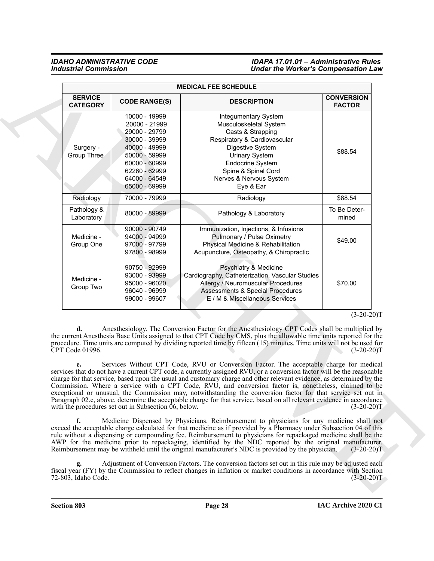| <b>MEDICAL FEE SCHEDULE</b>       |                                                                                                                                                                        |                                                                                                                                                                                                                                                                                                                                                                                                                                                                                                                                                                                                                                                                                                                                                                                                                                                                                                                                                                                                                                             |                                              |  |  |
|-----------------------------------|------------------------------------------------------------------------------------------------------------------------------------------------------------------------|---------------------------------------------------------------------------------------------------------------------------------------------------------------------------------------------------------------------------------------------------------------------------------------------------------------------------------------------------------------------------------------------------------------------------------------------------------------------------------------------------------------------------------------------------------------------------------------------------------------------------------------------------------------------------------------------------------------------------------------------------------------------------------------------------------------------------------------------------------------------------------------------------------------------------------------------------------------------------------------------------------------------------------------------|----------------------------------------------|--|--|
| <b>SERVICE</b><br><b>CATEGORY</b> | <b>CODE RANGE(S)</b>                                                                                                                                                   | <b>DESCRIPTION</b>                                                                                                                                                                                                                                                                                                                                                                                                                                                                                                                                                                                                                                                                                                                                                                                                                                                                                                                                                                                                                          | <b>CONVERSION</b><br><b>FACTOR</b>           |  |  |
| Surgery -<br><b>Group Three</b>   | 10000 - 19999<br>20000 - 21999<br>29000 - 29799<br>30000 - 39999<br>40000 - 49999<br>50000 - 59999<br>60000 - 60999<br>62260 - 62999<br>64000 - 64549<br>65000 - 69999 | Integumentary System<br>Musculoskeletal System<br>Casts & Strapping<br>Respiratory & Cardiovascular<br>Digestive System<br><b>Urinary System</b><br><b>Endocrine System</b><br>Spine & Spinal Cord<br>Nerves & Nervous System<br>Eye & Ear                                                                                                                                                                                                                                                                                                                                                                                                                                                                                                                                                                                                                                                                                                                                                                                                  | \$88.54                                      |  |  |
| Radiology                         | 70000 - 79999                                                                                                                                                          | Radiology                                                                                                                                                                                                                                                                                                                                                                                                                                                                                                                                                                                                                                                                                                                                                                                                                                                                                                                                                                                                                                   | \$88.54                                      |  |  |
| Pathology &<br>Laboratory         | 80000 - 89999                                                                                                                                                          | Pathology & Laboratory                                                                                                                                                                                                                                                                                                                                                                                                                                                                                                                                                                                                                                                                                                                                                                                                                                                                                                                                                                                                                      | To Be Deter-<br>mined                        |  |  |
| Medicine -<br>Group One           | 90000 - 90749<br>94000 - 94999<br>97000 - 97799<br>97800 - 98999                                                                                                       | Immunization, Injections, & Infusions<br>Pulmonary / Pulse Oximetry<br>Physical Medicine & Rehabilitation<br>Acupuncture, Osteopathy, & Chiropractic                                                                                                                                                                                                                                                                                                                                                                                                                                                                                                                                                                                                                                                                                                                                                                                                                                                                                        | \$49.00                                      |  |  |
| Medicine -<br>Group Two           | 90750 - 92999<br>93000 - 93999<br>95000 - 96020<br>96040 - 96999<br>99000 - 99607                                                                                      | Psychiatry & Medicine<br>Cardiography, Catheterization, Vascular Studies<br>Allergy / Neuromuscular Procedures<br><b>Assessments &amp; Special Procedures</b><br>E / M & Miscellaneous Services                                                                                                                                                                                                                                                                                                                                                                                                                                                                                                                                                                                                                                                                                                                                                                                                                                             | \$70.00                                      |  |  |
| d.<br>CPT Code 01996.<br>e.       | with the procedures set out in Subsection 06, below.                                                                                                                   | Anesthesiology. The Conversion Factor for the Anesthesiology CPT Codes shall be multiplied by<br>the current Anesthesia Base Units assigned to that CPT Code by CMS, plus the allowable time units reported for the<br>procedure. Time units are computed by dividing reported time by fifteen (15) minutes. Time units will not be used for<br>Services Without CPT Code, RVU or Conversion Factor. The acceptable charge for medical<br>services that do not have a current CPT code, a currently assigned RVU, or a conversion factor will be the reasonable<br>charge for that service, based upon the usual and customary charge and other relevant evidence, as determined by the<br>Commission. Where a service with a CPT Code, RVU, and conversion factor is, nonetheless, claimed to be<br>exceptional or unusual, the Commission may, notwithstanding the conversion factor for that service set out in<br>Paragraph 02.c, above, determine the acceptable charge for that service, based on all relevant evidence in accordance | $(3-20-20)T$<br>$(3-20-20)T$<br>$(3-20-20)T$ |  |  |
| f.                                |                                                                                                                                                                        | Medicine Dispensed by Physicians. Reimbursement to physicians for any medicine shall not<br>exceed the acceptable charge calculated for that medicine as if provided by a Pharmacy under Subsection 04 of this<br>rule without a dispensing or compounding fee. Reimbursement to physicians for repackaged medicine shall be the<br>AWP for the medicine prior to repackaging, identified by the NDC reported by the original manufacturer.<br>Reimbursement may be withheld until the original manufacturer's NDC is provided by the physician.<br>Adjustment of Conversion Factors. The conversion factors set out in this rule may be adjusted each<br>fiscal year (FY) by the Commission to reflect changes in inflation or market conditions in accordance with Section                                                                                                                                                                                                                                                                | $(3-20-20)T$                                 |  |  |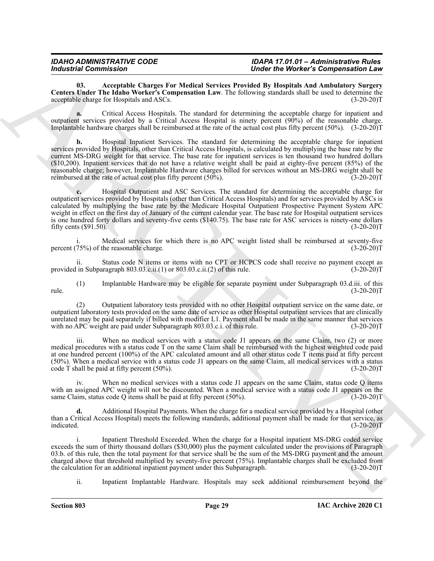## *IDAHO ADMINISTRATIVE CODE IDAPA 17.01.01 – Administrative Rules*

## *Under the Worker's Compensation Law*

<span id="page-28-0"></span>**03. Acceptable Charges For Medical Services Provided By Hospitals And Ambulatory Surgery Centers Under The Idaho Worker's Compensation Law**. The following standards shall be used to determine the acceptable charge for Hospitals and ASCs. (3-20-20) acceptable charge for Hospitals and ASCs.

**a.** Critical Access Hospitals. The standard for determining the acceptable charge for inpatient and outpatient services provided by a Critical Access Hospital is ninety percent (90%) of the reasonable charge. Implantable hardware charges shall be reimbursed at the rate of the actual cost plus fifty percent (50%). (3-20-20)T

For the ratio of the state of the state of the state of the state of the state of the state of the state of the state of the state of the state of the state of the state of the state of the state of the state of the state **b.** Hospital Inpatient Services. The standard for determining the acceptable charge for inpatient services provided by Hospitals, other than Critical Access Hospitals, is calculated by multiplying the base rate by the current MS-DRG weight for that service. The base rate for inpatient services is ten thousand two hundred dollars (\$10,200). Inpatient services that do not have a relative weight shall be paid at eighty-five percent (85%) of the reasonable charge; however, Implantable Hardware charges billed for services without an MS-DRG weight shall be reimbursed at the rate of actual cost plus fifty percent (50%). (3-20-20)T

**c.** Hospital Outpatient and ASC Services. The standard for determining the acceptable charge for outpatient services provided by Hospitals (other than Critical Access Hospitals) and for services provided by ASCs is calculated by multiplying the base rate by the Medicare Hospital Outpatient Prospective Payment System APC weight in effect on the first day of January of the current calendar year. The base rate for Hospital outpatient services is one hundred forty dollars and seventy-five cents (\$140.75). The base rate for ASC services is ninety-one dollars fifty cents (\$91.50). (3-20-20) fifty cents  $(\$91.50)$ .

Medical services for which there is no APC weight listed shall be reimbursed at seventy-five the reasonable charge.  $(3-20-20)T$ percent  $(75%)$  of the reasonable charge.

ii. Status code N items or items with no CPT or HCPCS code shall receive no payment except as in Subparagraph 803.03.c.ii.(1) or 803.03.c.ii.(2) of this rule. (3-20-20) provided in Subparagraph  $803.03.c.ii(1)$  or  $803.03.c.ii(2)$  of this rule.

(1) Implantable Hardware may be eligible for separate payment under Subparagraph 03.d.iii. of this  $rule.$  (3-20-20)T

(2) Outpatient laboratory tests provided with no other Hospital outpatient service on the same date, or outpatient laboratory tests provided on the same date of service as other Hospital outpatient services that are clinically unrelated may be paid separately if billed with modifier L1. Payment shall be made in the same manner that services with no APC weight are paid under Subparagraph 803.03.c.i. of this rule. (3-20-20) with no APC weight are paid under Subparagraph 803.03.c.i. of this rule.

iii. When no medical services with a status code J1 appears on the same Claim, two (2) or more medical procedures with a status code T on the same Claim shall be reimbursed with the highest weighted code paid at one hundred percent (100%) of the APC calculated amount and all other status code T items paid at fifty percent (50%). When a medical service with a status code J1 appears on the same Claim, all medical services with a status code T shall be paid at fifty percent  $(50\%)$ .  $(3-20-20)T$ 

iv. When no medical services with a status code J1 appears on the same Claim, status code Q items with an assigned APC weight will not be discounted. When a medical service with a status code J1 appears on the same Claim, status code Q items shall be paid at fifty percent (50%). same Claim, status code  $Q$  items shall be paid at fifty percent (50%).

**d.** Additional Hospital Payments. When the charge for a medical service provided by a Hospital (other than a Critical Access Hospital) meets the following standards, additional payment shall be made for that service, as indicated. (3-20-20) indicated. (3-20-20)T

i. Inpatient Threshold Exceeded. When the charge for a Hospital inpatient MS-DRG coded service exceeds the sum of thirty thousand dollars (\$30,000) plus the payment calculated under the provisions of Paragraph 03.b. of this rule, then the total payment for that service shall be the sum of the MS-DRG payment and the amount charged above that threshold multiplied by seventy-five percent (75%). Implantable charges shall be excluded from<br>the calculation for an additional inpatient payment under this Subparagraph. (3-20-20) the calculation for an additional inpatient payment under this Subparagraph.

ii. Inpatient Implantable Hardware. Hospitals may seek additional reimbursement beyond the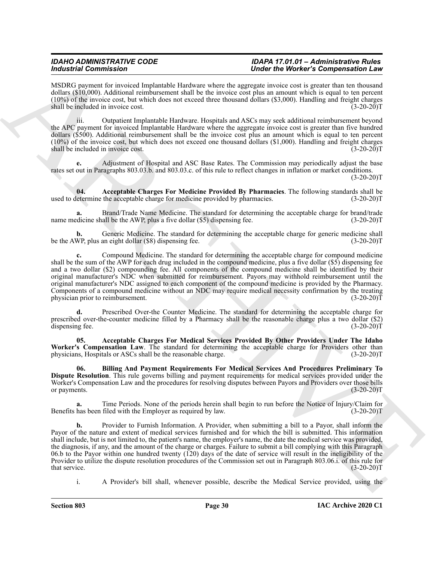MSDRG payment for invoiced Implantable Hardware where the aggregate invoice cost is greater than ten thousand dollars (\$10,000). Additional reimbursement shall be the invoice cost plus an amount which is equal to ten percent  $(10%)$  of the invoice cost, but which does not exceed three thousand dollars (\$3,000). Handling and freight charges shall be included in invoice cost. shall be included in invoice cost.

iii. Outpatient Implantable Hardware. Hospitals and ASCs may seek additional reimbursement beyond the APC payment for invoiced Implantable Hardware where the aggregate invoice cost is greater than five hundred dollars (\$500). Additional reimbursement shall be the invoice cost plus an amount which is equal to ten percent (10%) of the invoice cost, but which does not exceed one thousand dollars (\$1,000). Handling and freight charges shall be included in invoice cost. (3-20-20)T

**e.** Adjustment of Hospital and ASC Base Rates. The Commission may periodically adjust the base rates set out in Paragraphs 803.03.b. and 803.03.c. of this rule to reflect changes in inflation or market conditions.

 $(3-20-20)T$ 

<span id="page-29-1"></span>**04.** Acceptable Charges For Medicine Provided By Pharmacies. The following standards shall be etermine the acceptable charge for medicine provided by pharmacies. (3-20-20) used to determine the acceptable charge for medicine provided by pharmacies.

Brand/Trade Name Medicine. The standard for determining the acceptable charge for brand/trade all be the AWP, plus a five dollar (\$5) dispensing fee. (3-20-20)<sup>T</sup> name medicine shall be the AWP, plus a five dollar  $(\$5)$  dispensing fee.

**b.** Generic Medicine. The standard for determining the acceptable charge for generic medicine shall MP, plus an eight dollar (\$8) dispensing fee. (3-20-20) be the AWP, plus an eight dollar (\$8) dispensing fee.

**c.** Compound Medicine. The standard for determining the acceptable charge for compound medicine shall be the sum of the AWP for each drug included in the compound medicine, plus a five dollar (\$5) dispensing fee and a two dollar (\$2) compounding fee. All components of the compound medicine shall be identified by their original manufacturer's NDC when submitted for reimbursement. Payors may withhold reimbursement until the original manufacturer's NDC assigned to each component of the compound medicine is provided by the Pharmacy. Components of a compound medicine without an NDC may require medical necessity confirmation by the treating physician prior to reimbursement. (3-20-20) physician prior to reimbursement.

**d.** Prescribed Over-the Counter Medicine. The standard for determining the acceptable charge for prescribed over-the-counter medicine filled by a Pharmacy shall be the reasonable charge plus a two dollar (\$2) dispensing fee. (3-20-20) dispensing fee.

<span id="page-29-0"></span>**05. Acceptable Charges For Medical Services Provided By Other Providers Under The Idaho Worker's Compensation Law**. The standard for determining the acceptable charge for Providers other than physicians, Hospitals or ASCs shall be the reasonable charge. (3-20-20)T

<span id="page-29-2"></span>**06. Billing And Payment Requirements For Medical Services And Procedures Preliminary To Dispute Resolution**. This rule governs billing and payment requirements for medical services provided under the Worker's Compensation Law and the procedures for resolving disputes between Payors and Providers over those bills or payments. (3-20-20) or payments.

**a.** Time Periods. None of the periods herein shall begin to run before the Notice of Injury/Claim for has been filed with the Employer as required by law. (3-20-20) Benefits has been filed with the Employer as required by law.

Formation of the state of the state of the state of the state of the state of the state of the state of the state of the state of the state of the state of the state of the state of the state of the state of the state of **b.** Provider to Furnish Information. A Provider, when submitting a bill to a Payor, shall inform the Payor of the nature and extent of medical services furnished and for which the bill is submitted. This information shall include, but is not limited to, the patient's name, the employer's name, the date the medical service was provided, the diagnosis, if any, and the amount of the charge or charges. Failure to submit a bill complying with this Paragraph 06.b to the Payor within one hundred twenty (120) days of the date of service will result in the ineligibility of the Provider to utilize the dispute resolution procedures of the Commission set out in Paragraph 803.06.i. of this rule for that service.  $(3-20-20)T$ 

i. A Provider's bill shall, whenever possible, describe the Medical Service provided, using the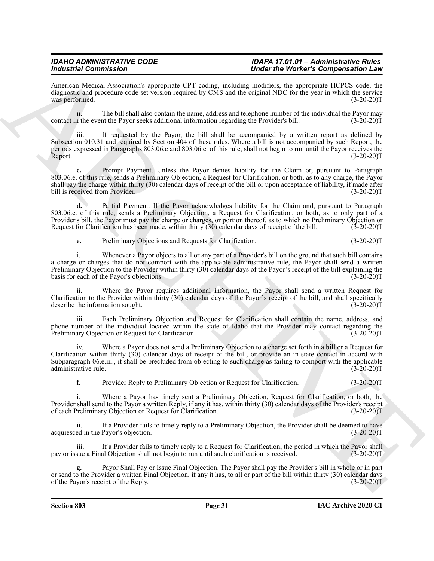American Medical Association's appropriate CPT coding, including modifiers, the appropriate HCPCS code, the diagnostic and procedure code set version required by CMS and the original NDC for the year in which the service<br>(3-20-20)T was performed.

ii. The bill shall also contain the name, address and telephone number of the individual the Payor may<br>n the event the Payor seeks additional information regarding the Provider's bill. (3-20-20) contact in the event the Payor seeks additional information regarding the Provider's bill.

iii. If requested by the Payor, the bill shall be accompanied by a written report as defined by Subsection 010.31 and required by Section 404 of these rules. Where a bill is not accompanied by such Report, the periods expressed in Paragraphs 803.06.c and 803.06.e. of this rule, shall not begin to run until the Payor receives the Report. (3-20-20)T

For the contraction of the matter of the state of the state of the contract of the state of the state of the state of the state of the state of the state of the state of the state of the state of the state of the state of **c.** Prompt Payment. Unless the Payor denies liability for the Claim or, pursuant to Paragraph 803.06.e. of this rule, sends a Preliminary Objection, a Request for Clarification, or both, as to any charge, the Payor shall pay the charge within thirty (30) calendar days of receipt of the bill or upon acceptance of liability, if made after bill is received from Provider. (3-20-20) bill is received from Provider.

**d.** Partial Payment. If the Payor acknowledges liability for the Claim and, pursuant to Paragraph 803.06.e. of this rule, sends a Preliminary Objection, a Request for Clarification, or both, as to only part of a Provider's bill, the Payor must pay the charge or charges, or portion thereof, as to which no Preliminary Objection or<br>Request for Clarification has been made, within thirty (30) calendar days of receipt of the bill. (3-20 Request for Clarification has been made, within thirty  $(30)$  calendar days of receipt of the bill.

**e.** Preliminary Objections and Requests for Clarification. (3-20-20)T

i. Whenever a Payor objects to all or any part of a Provider's bill on the ground that such bill contains a charge or charges that do not comport with the applicable administrative rule, the Payor shall send a written Preliminary Objection to the Provider within thirty (30) calendar days of the Payor's receipt of the bill explaining the basis for each of the Payor's objections. basis for each of the Payor's objections.

ii. Where the Payor requires additional information, the Payor shall send a written Request for Clarification to the Provider within thirty (30) calendar days of the Payor's receipt of the bill, and shall specifically describe the information sought.

iii. Each Preliminary Objection and Request for Clarification shall contain the name, address, and phone number of the individual located within the state of Idaho that the Provider may contact regarding the Preliminary Objection or Request for Clarification. (3-20-20)T

iv. Where a Payor does not send a Preliminary Objection to a charge set forth in a bill or a Request for Clarification within thirty (30) calendar days of receipt of the bill, or provide an in-state contact in accord with Subparagraph 06.e.iii., it shall be precluded from objecting to such charge as failing to comport with the applicable administrative rule. (3-20-20)T administrative rule.

**f.** Provider Reply to Preliminary Objection or Request for Clarification. (3-20-20) T

i. Where a Payor has timely sent a Preliminary Objection, Request for Clarification, or both, the Provider shall send to the Payor a written Reply, if any it has, within thirty (30) calendar days of the Provider's receipt of each Preliminary Objection or Request for Clarification. (3-20-20)T

ii. If a Provider fails to timely reply to a Preliminary Objection, the Provider shall be deemed to have ed in the Payor's objection. (3-20-20) acquiesced in the Payor's objection.

If a Provider fails to timely reply to a Request for Clarification, the period in which the Payor shall pay or issue a Final Objection shall not begin to run until such clarification is received. (3-20-20)T

**g.** Payor Shall Pay or Issue Final Objection. The Payor shall pay the Provider's bill in whole or in part or send to the Provider a written Final Objection, if any it has, to all or part of the bill within thirty (30) calendar days of the Payor's receipt of the Reply. (3-20-20) of the Payor's receipt of the Reply.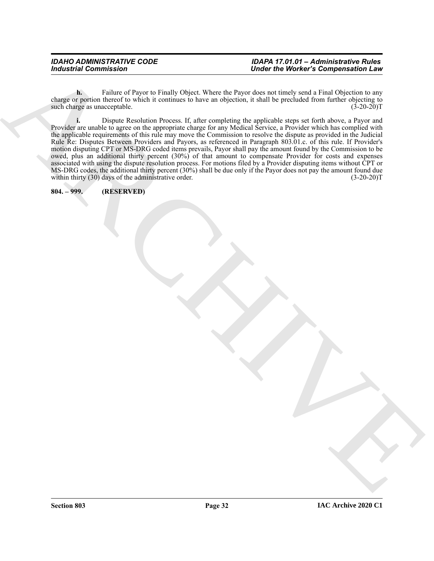**h.** Failure of Payor to Finally Object. Where the Payor does not timely send a Final Objection to any charge or portion thereof to which it continues to have an objection, it shall be precluded from further objecting to such charge as unacceptable. (3-20-20) such charge as unacceptable.

For the same of the same of the same of the same of the same of the same of the same of the same of the same of the same of the same of the same of the same of the same of the same of the same of the same of the same of t **i.** Dispute Resolution Process. If, after completing the applicable steps set forth above, a Payor and Provider are unable to agree on the appropriate charge for any Medical Service, a Provider which has complied with the applicable requirements of this rule may move the Commission to resolve the dispute as provided in the Judicial Rule Re: Disputes Between Providers and Payors, as referenced in Paragraph 803.01.c. of this rule. If Provider's motion disputing CPT or MS-DRG coded items prevails, Payor shall pay the amount found by the Commission to be owed, plus an additional thirty percent (30%) of that amount to compensate Provider for costs and expenses associated with using the dispute resolution process. For motions filed by a Provider disputing items without CPT or MS-DRG codes, the additional thirty percent (30%) shall be due only if the Payor does not pay the amount found due within thirty (30) days of the administrative order. (3-20-20)T

<span id="page-31-0"></span>**804. – 999. (RESERVED)**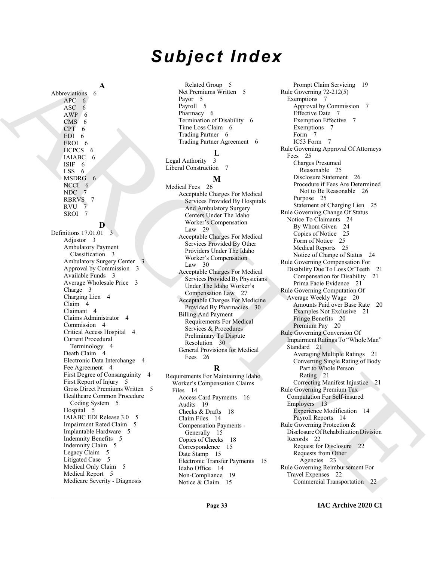# *Subject Index*

**A** Abbreviations 6 APC 6 ASC 6 AWP 6 CMS<sub>6</sub> CPT 6 EDI 6 FROI 6 HCPCS 6 IAIABC 6 ISIF 6 LSS 6 MSDRG 6 NCCI<sub>6</sub> NDC 7 RBRVS 7 RVU 7 SROI 7 **D** Definitions 17.01.01 3 Adjustor 3 Ambulatory Payment Classification 3 Ambulatory Surgery Center 3 Approval by Commission 3 Available Funds 3 Average Wholesale Price 3 Charge 3 Charging Lien 4 Claim 4 Claimant 4 Claims Administrator 4 Commission 4 Critical Access Hospital 4 Current Procedural Terminology 4 Death Claim 4 Electronic Data Interchange 4 Fee Agreement 4 First Degree of Consanguinity 4 First Report of Injury 5 Gross Direct Premiums Written 5 Healthcare Common Procedure Coding System 5 Hospital 5 IAIABC EDI Release 3.0 5 Impairment Rated Claim 5 Implantable Hardware 5 Indemnity Benefits 5 Indemnity Claim 5 Legacy Claim 5 Litigated Case 5 Medical Only Claim 5 Medical Report 5 Medicare Severity - Diagnosis

Related Group 5 Net Premiums Written 5 Payor 5 Payroll 5 Pharmacy 6 Termination of Disability 6 Time Loss Claim 6 Trading Partner 6 Trading Partner Agreement 6

### **L**

Legal Authority 3 Liberal Construction 7

### **M**

Medical Fees 26 Acceptable Charges For Medical Services Provided By Hospitals And Ambulatory Surgery Centers Under The Idaho Worker's Compensation Law 29 Acceptable Charges For Medical Services Provided By Other Providers Under The Idaho Worker's Compensation Law 30 Acceptable Charges For Medical Services Provided By Physicians Under The Idaho Worker's Compensation Law 27 Acceptable Charges For Medicine Provided By Pharmacies 30 Billing And Payment Requirements For Medical Services & Procedures Preliminary To Dispute Resolution 30 General Provisions for Medical Fees 26

### **R**

Requirements For Maintaining Idaho Worker's Compensation Claims Files 14 Access Card Payments 16 Audits 19 Checks & Drafts 18 Claim Files 14 Compensation Payments - Generally 15 Copies of Checks 18 Correspondence 15 Date Stamp 15 Electronic Transfer Payments 15 Idaho Office 14 Non-Compliance 19 Notice & Claim 15

[A](#page-5-1)lso contains a strained from the strained from the strained from the strained from the strained from the strained from the strained from the strained from the strained from the strained from the strained from the straine Prompt Claim Servicing 19 Rule Governing 72-212(5) Exemptions 7 Approval by Commission 7 Effective Date 7 Exemption Effective 7 Exemptions 7 Form 7 IC53 Form 7 Rule Governing Approval Of Attorneys Fees 25 Charges Presumed Reasonable 25 Disclosure Statement 26 Procedure if Fees Are Determined Not to Be Reasonable 26 Purpose 25 Statement of Charging Lien 25 Rule Governing Change Of Status Notice To Claimants 24 By Whom Given 24 Copies of Notice 25 Form of Notice 25 Medical Reports 25 Notice of Change of Status 24 Rule Governing Compensation For Disability Due To Loss Of Teeth 21 Compensation for Disability 21 Prima Facie Evidence 21 Rule Governing Computation Of Average Weekly Wage 20 Amounts Paid over Base Rate 20 Examples Not Exclusive 21 Fringe Benefits 20 Premium Pay 20 Rule Governing Conversion Of Impairment Ratings To "Whole Man" Standard 21 Averaging Multiple Ratings 21 Converting Single Rating of Body Part to Whole Person Rating 21 Correcting Manifest Injustice 21 Rule Governing Premium Tax Computation For Self-insured Employers 13 Experience Modification 14 Payroll Reports 14 Rule Governing Protection & Disclosure Of Rehabilitation Division Records 22 Request for Disclosure 22 Requests from Other Agencies 23 Rule Governing Reimbursement For Travel Expenses 22 Commercial Transportation 22